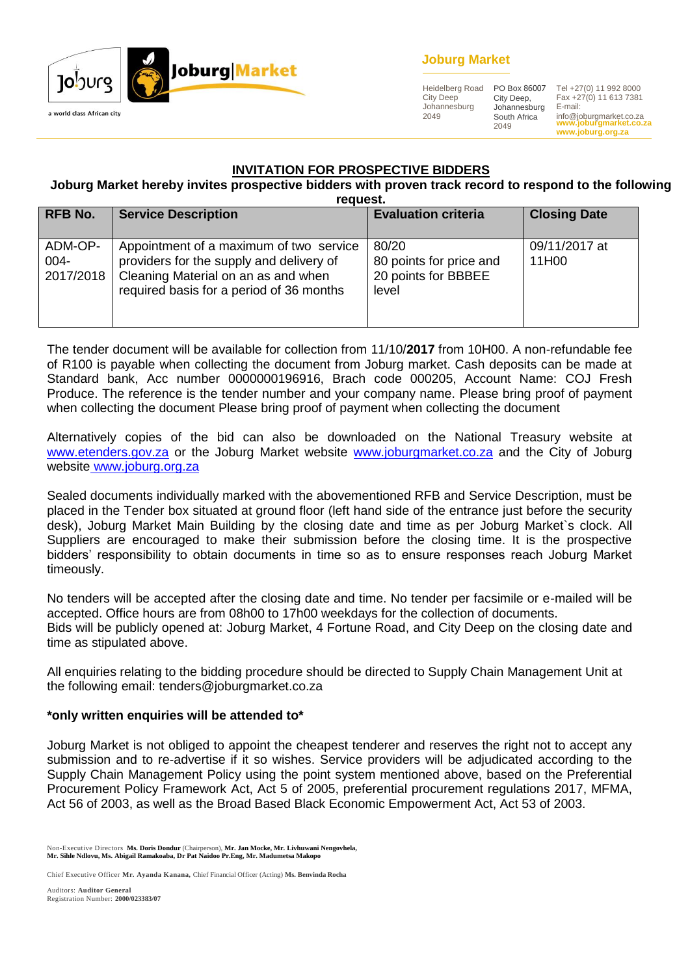

### **Joburg Market**

Heidelberg Road City Deep Johannesburg 2049

City Deep, Johannesburg South Africa 2049

**www.joburgmarket.co.za www.joburg.org.za** PO Box 86007 Tel +27(0) 11 992 8000 Fax +27(0) 11 613 7381 E-mail: info@joburgmarket.co.za

### **INVITATION FOR PROSPECTIVE BIDDERS**

#### **Joburg Market hereby invites prospective bidders with proven track record to respond to the following request.**

| <b>RFB No.</b>               | <b>Service Description</b>                                                                                                                                             | <b>Evaluation criteria</b>                                       | <b>Closing Date</b>    |
|------------------------------|------------------------------------------------------------------------------------------------------------------------------------------------------------------------|------------------------------------------------------------------|------------------------|
| ADM-OP-<br>004-<br>2017/2018 | Appointment of a maximum of two service<br>providers for the supply and delivery of<br>Cleaning Material on an as and when<br>required basis for a period of 36 months | 80/20<br>80 points for price and<br>20 points for BBBEE<br>level | 09/11/2017 at<br>11H00 |

The tender document will be available for collection from 11/10/**2017** from 10H00. A non-refundable fee of R100 is payable when collecting the document from Joburg market. Cash deposits can be made at Standard bank, Acc number 0000000196916, Brach code 000205, Account Name: COJ Fresh Produce. The reference is the tender number and your company name. Please bring proof of payment when collecting the document Please bring proof of payment when collecting the document

Alternatively copies of the bid can also be downloaded on the National Treasury website at [www.etenders.gov.za](http://www.etenders.gov.za/) or the Joburg Market website [www.joburgmarket.co.za](http://www.joburgmarket.co.za/) and the City of Joburg website [www.joburg.org.za](http://www.joburg.org.za/)

Sealed documents individually marked with the abovementioned RFB and Service Description, must be placed in the Tender box situated at ground floor (left hand side of the entrance just before the security desk), Joburg Market Main Building by the closing date and time as per Joburg Market`s clock. All Suppliers are encouraged to make their submission before the closing time. It is the prospective bidders' responsibility to obtain documents in time so as to ensure responses reach Joburg Market timeously.

No tenders will be accepted after the closing date and time. No tender per facsimile or e-mailed will be accepted. Office hours are from 08h00 to 17h00 weekdays for the collection of documents. Bids will be publicly opened at: Joburg Market, 4 Fortune Road, and City Deep on the closing date and time as stipulated above.

All enquiries relating to the bidding procedure should be directed to Supply Chain Management Unit at the following email: tenders@joburgmarket.co.za

### **\*only written enquiries will be attended to\***

Joburg Market is not obliged to appoint the cheapest tenderer and reserves the right not to accept any submission and to re-advertise if it so wishes. Service providers will be adjudicated according to the Supply Chain Management Policy using the point system mentioned above, based on the Preferential Procurement Policy Framework Act, Act 5 of 2005, preferential procurement regulations 2017, MFMA, Act 56 of 2003, as well as the Broad Based Black Economic Empowerment Act, Act 53 of 2003.

Non-Executive Directors **Ms. Doris Dondur** (Chairperson), **Mr. Jan Mocke, Mr. Livhuwani Nengovhela, Mr. Sihle Ndlovu, Ms. Abigail Ramakoaba, Dr Pat Naidoo Pr.Eng, Mr. Madumetsa Makopo**

Chief Executive Officer **Mr. Ayanda Kanana,** Chief Financial Officer (Acting) **Ms. Benvinda Rocha**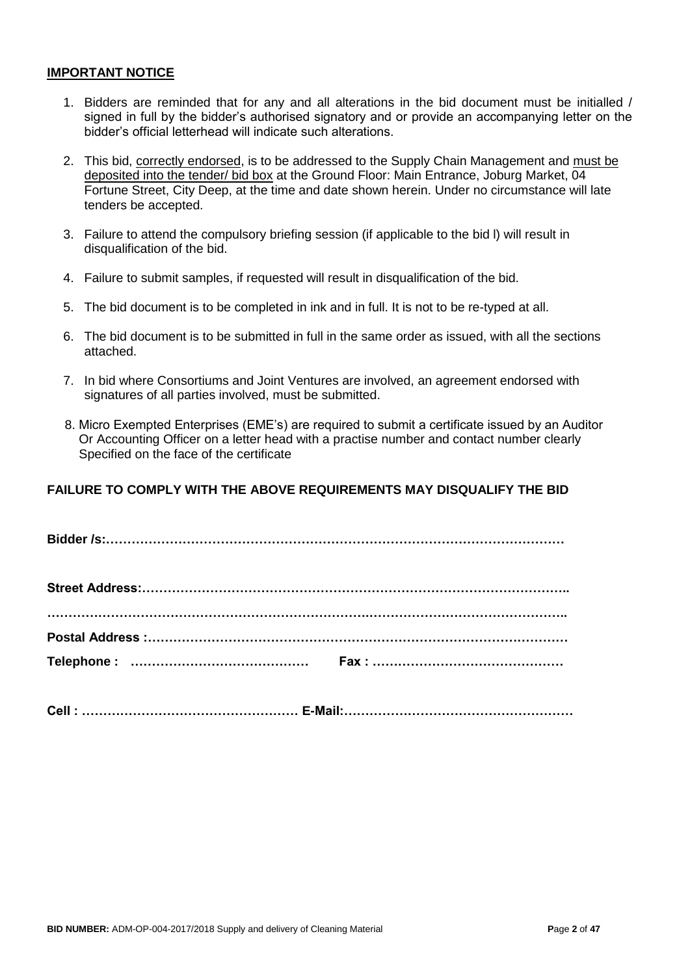#### **IMPORTANT NOTICE**

- 1. Bidders are reminded that for any and all alterations in the bid document must be initialled / signed in full by the bidder's authorised signatory and or provide an accompanying letter on the bidder's official letterhead will indicate such alterations.
- 2. This bid, correctly endorsed, is to be addressed to the Supply Chain Management and must be deposited into the tender/ bid box at the Ground Floor: Main Entrance, Joburg Market, 04 Fortune Street, City Deep, at the time and date shown herein. Under no circumstance will late tenders be accepted.
- 3. Failure to attend the compulsory briefing session (if applicable to the bid l) will result in disqualification of the bid.
- 4. Failure to submit samples, if requested will result in disqualification of the bid.
- 5. The bid document is to be completed in ink and in full. It is not to be re-typed at all.
- 6. The bid document is to be submitted in full in the same order as issued, with all the sections attached.
- 7. In bid where Consortiums and Joint Ventures are involved, an agreement endorsed with signatures of all parties involved, must be submitted.
- 8. Micro Exempted Enterprises (EME's) are required to submit a certificate issued by an Auditor Or Accounting Officer on a letter head with a practise number and contact number clearly Specified on the face of the certificate

### **FAILURE TO COMPLY WITH THE ABOVE REQUIREMENTS MAY DISQUALIFY THE BID**

**Cell : …………………………………………… E-Mail:………………………………………………**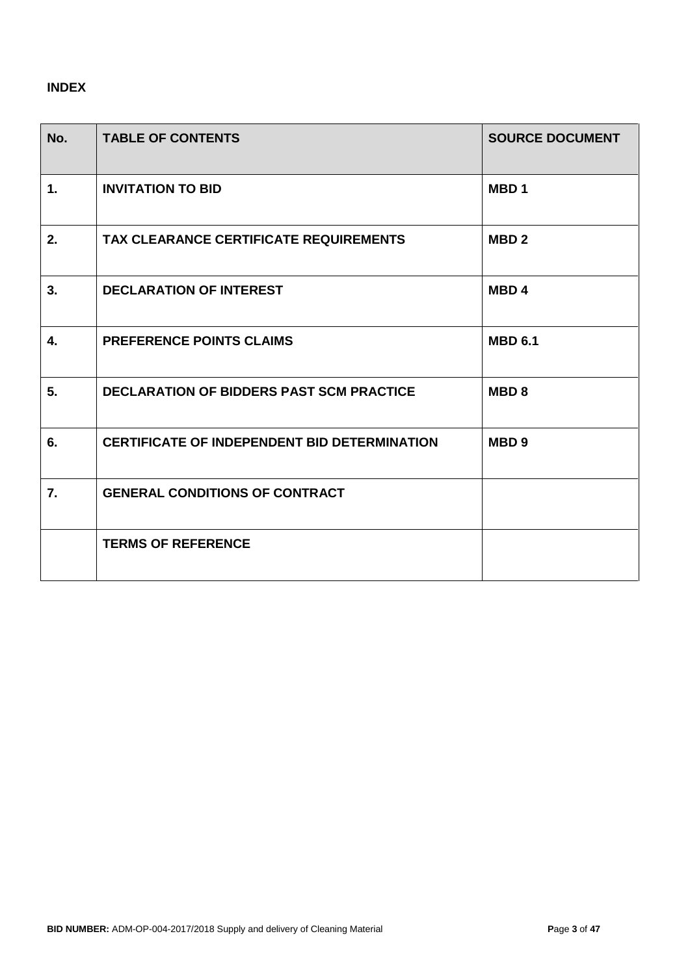### **INDEX**

| No. | <b>TABLE OF CONTENTS</b>                            | <b>SOURCE DOCUMENT</b> |
|-----|-----------------------------------------------------|------------------------|
| 1.  | <b>INVITATION TO BID</b>                            | MBD <sub>1</sub>       |
| 2.  | <b>TAX CLEARANCE CERTIFICATE REQUIREMENTS</b>       | MBD <sub>2</sub>       |
| 3.  | <b>DECLARATION OF INTEREST</b>                      | MBD <sub>4</sub>       |
| 4.  | <b>PREFERENCE POINTS CLAIMS</b>                     | <b>MBD 6.1</b>         |
| 5.  | <b>DECLARATION OF BIDDERS PAST SCM PRACTICE</b>     | <b>MBD8</b>            |
| 6.  | <b>CERTIFICATE OF INDEPENDENT BID DETERMINATION</b> | MBD <sub>9</sub>       |
| 7.  | <b>GENERAL CONDITIONS OF CONTRACT</b>               |                        |
|     | <b>TERMS OF REFERENCE</b>                           |                        |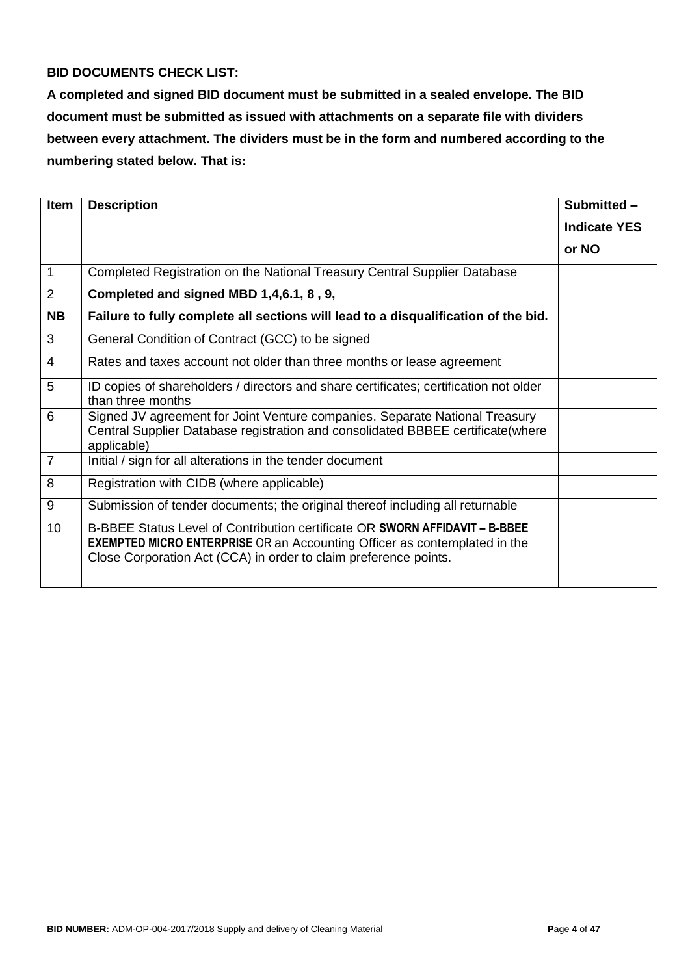### **BID DOCUMENTS CHECK LIST:**

**A completed and signed BID document must be submitted in a sealed envelope. The BID document must be submitted as issued with attachments on a separate file with dividers between every attachment. The dividers must be in the form and numbered according to the numbering stated below. That is:**

| <b>Item</b>    | <b>Description</b>                                                                                                                                                                                                                  | Submitted -         |
|----------------|-------------------------------------------------------------------------------------------------------------------------------------------------------------------------------------------------------------------------------------|---------------------|
|                |                                                                                                                                                                                                                                     | <b>Indicate YES</b> |
|                |                                                                                                                                                                                                                                     | or NO               |
| $\mathbf{1}$   | Completed Registration on the National Treasury Central Supplier Database                                                                                                                                                           |                     |
| 2              | Completed and signed MBD 1,4,6.1, 8, 9,                                                                                                                                                                                             |                     |
| <b>NB</b>      | Failure to fully complete all sections will lead to a disqualification of the bid.                                                                                                                                                  |                     |
| 3              | General Condition of Contract (GCC) to be signed                                                                                                                                                                                    |                     |
| $\overline{4}$ | Rates and taxes account not older than three months or lease agreement                                                                                                                                                              |                     |
| 5              | ID copies of shareholders / directors and share certificates; certification not older<br>than three months                                                                                                                          |                     |
| 6              | Signed JV agreement for Joint Venture companies. Separate National Treasury<br>Central Supplier Database registration and consolidated BBBEE certificate(where<br>applicable)                                                       |                     |
| $\overline{7}$ | Initial / sign for all alterations in the tender document                                                                                                                                                                           |                     |
| 8              | Registration with CIDB (where applicable)                                                                                                                                                                                           |                     |
| 9              | Submission of tender documents; the original thereof including all returnable                                                                                                                                                       |                     |
| 10             | B-BBEE Status Level of Contribution certificate OR SWORN AFFIDAVIT - B-BBEE<br><b>EXEMPTED MICRO ENTERPRISE</b> OR an Accounting Officer as contemplated in the<br>Close Corporation Act (CCA) in order to claim preference points. |                     |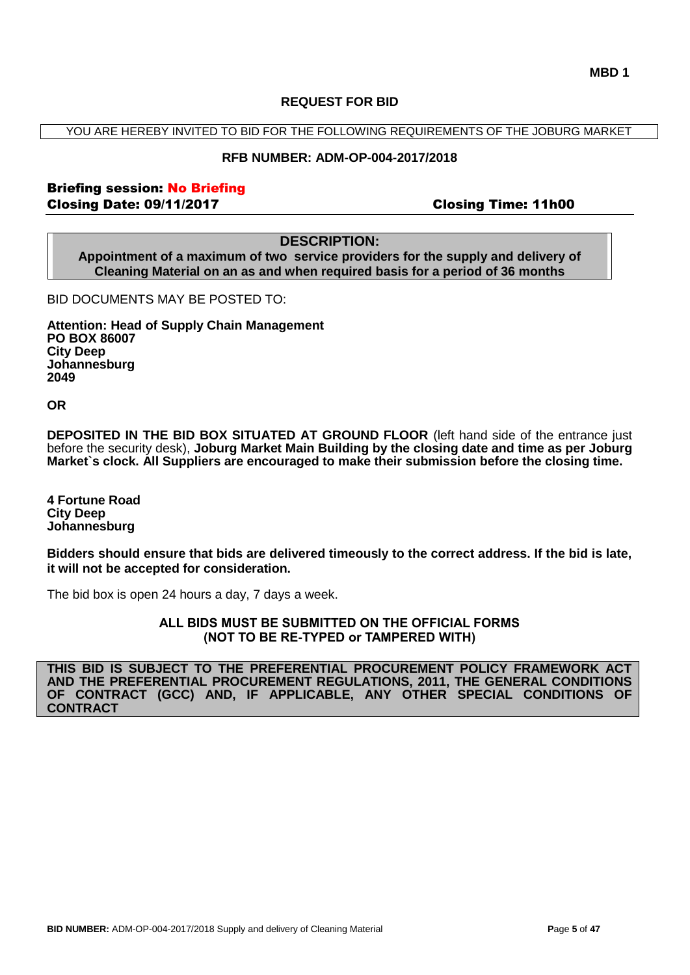#### **REQUEST FOR BID**

YOU ARE HEREBY INVITED TO BID FOR THE FOLLOWING REQUIREMENTS OF THE JOBURG MARKET

#### **RFB NUMBER: ADM-OP-004-2017/2018**

### Briefing session: No Briefing Closing Date: 09/11/2017 Closing Time: 11h00

### **DESCRIPTION:**

**Appointment of a maximum of two service providers for the supply and delivery of Cleaning Material on an as and when required basis for a period of 36 months**

BID DOCUMENTS MAY BE POSTED TO:

**Attention: Head of Supply Chain Management PO BOX 86007 City Deep Johannesburg 2049**

**OR**

**DEPOSITED IN THE BID BOX SITUATED AT GROUND FLOOR** (left hand side of the entrance just before the security desk), **Joburg Market Main Building by the closing date and time as per Joburg Market`s clock. All Suppliers are encouraged to make their submission before the closing time.**

**4 Fortune Road City Deep Johannesburg** 

**Bidders should ensure that bids are delivered timeously to the correct address. If the bid is late, it will not be accepted for consideration.**

The bid box is open 24 hours a day, 7 days a week.

**ALL BIDS MUST BE SUBMITTED ON THE OFFICIAL FORMS (NOT TO BE RE-TYPED or TAMPERED WITH)**

**THIS BID IS SUBJECT TO THE PREFERENTIAL PROCUREMENT POLICY FRAMEWORK ACT AND THE PREFERENTIAL PROCUREMENT REGULATIONS, 2011, THE GENERAL CONDITIONS OF CONTRACT (GCC) AND, IF APPLICABLE, ANY OTHER SPECIAL CONDITIONS OF CONTRACT**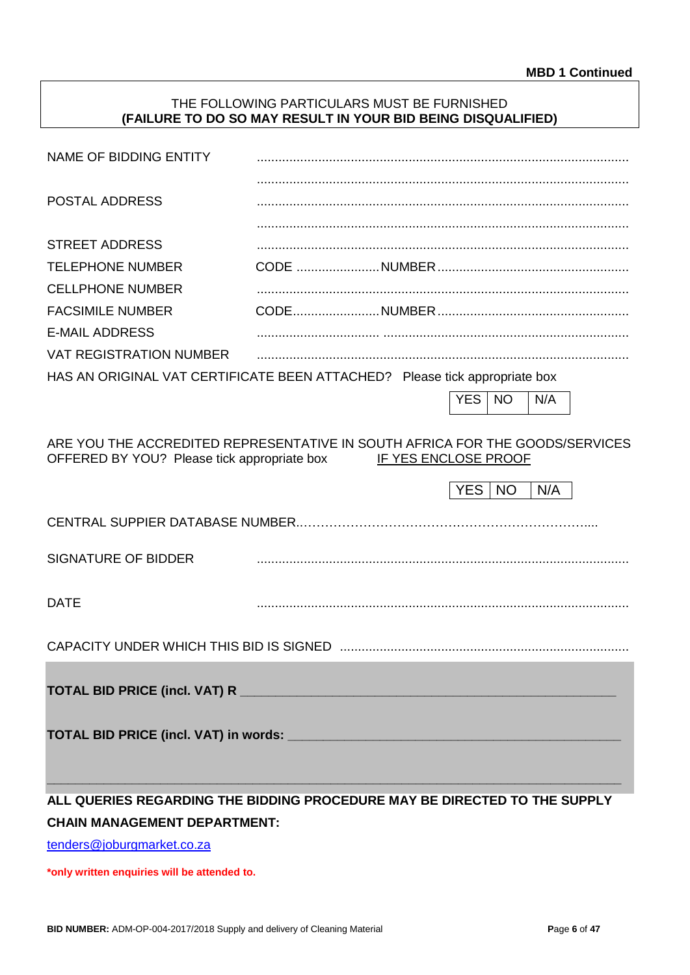### THE FOLLOWING PARTICULARS MUST BE FURNISHED **(FAILURE TO DO SO MAY RESULT IN YOUR BID BEING DISQUALIFIED)**

|                                             | <b>YES</b> | NO. | N/A      |                                                                                                                                                                                                                                                                 |
|---------------------------------------------|------------|-----|----------|-----------------------------------------------------------------------------------------------------------------------------------------------------------------------------------------------------------------------------------------------------------------|
|                                             |            |     |          |                                                                                                                                                                                                                                                                 |
| OFFERED BY YOU? Please tick appropriate box |            |     |          |                                                                                                                                                                                                                                                                 |
|                                             |            |     | N/A      |                                                                                                                                                                                                                                                                 |
|                                             |            |     |          |                                                                                                                                                                                                                                                                 |
|                                             |            |     |          |                                                                                                                                                                                                                                                                 |
|                                             |            |     |          |                                                                                                                                                                                                                                                                 |
|                                             |            |     |          |                                                                                                                                                                                                                                                                 |
|                                             |            |     |          |                                                                                                                                                                                                                                                                 |
|                                             |            |     |          |                                                                                                                                                                                                                                                                 |
|                                             |            |     |          |                                                                                                                                                                                                                                                                 |
|                                             |            |     |          |                                                                                                                                                                                                                                                                 |
|                                             |            |     |          |                                                                                                                                                                                                                                                                 |
|                                             |            |     |          |                                                                                                                                                                                                                                                                 |
|                                             |            |     | YES   NO | HAS AN ORIGINAL VAT CERTIFICATE BEEN ATTACHED? Please tick appropriate box<br>ARE YOU THE ACCREDITED REPRESENTATIVE IN SOUTH AFRICA FOR THE GOODS/SERVICES<br>IF YES ENCLOSE PROOF<br>ALL QUERIES REGARDING THE BIDDING PROCEDURE MAY BE DIRECTED TO THE SUPPLY |

[tenders@joburgmarket.co.za](mailto:tenders@joburgmarket.co.za)

**\*only written enquiries will be attended to.**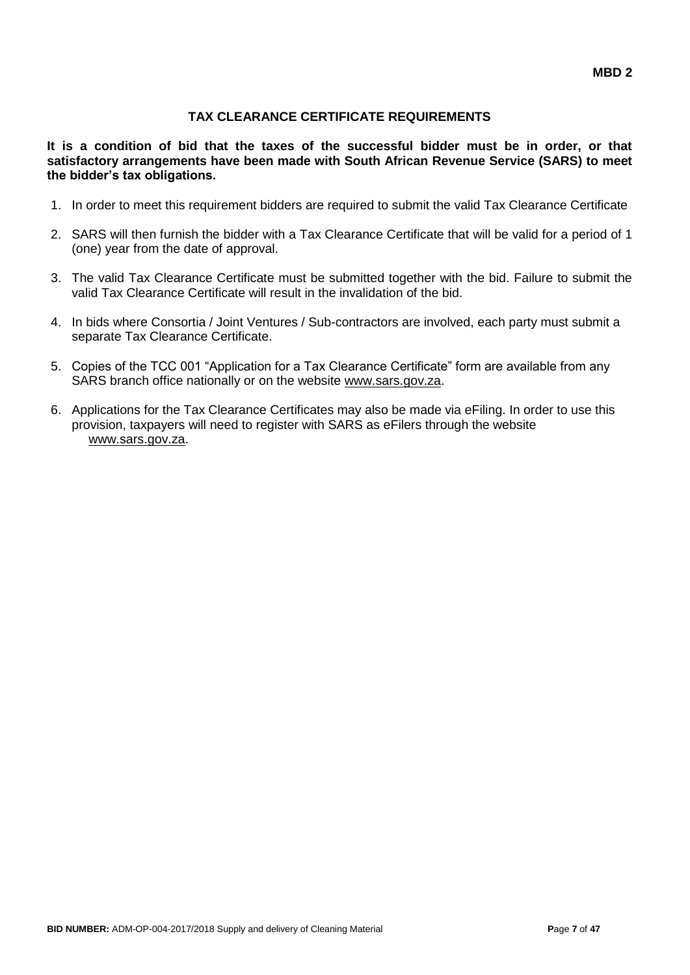### **TAX CLEARANCE CERTIFICATE REQUIREMENTS**

**It is a condition of bid that the taxes of the successful bidder must be in order, or that satisfactory arrangements have been made with South African Revenue Service (SARS) to meet the bidder's tax obligations.**

- 1. In order to meet this requirement bidders are required to submit the valid Tax Clearance Certificate
- 2. SARS will then furnish the bidder with a Tax Clearance Certificate that will be valid for a period of 1 (one) year from the date of approval.
- 3. The valid Tax Clearance Certificate must be submitted together with the bid. Failure to submit the valid Tax Clearance Certificate will result in the invalidation of the bid.
- 4. In bids where Consortia / Joint Ventures / Sub-contractors are involved, each party must submit a separate Tax Clearance Certificate.
- 5. Copies of the TCC 001 "Application for a Tax Clearance Certificate" form are available from any SARS branch office nationally or on the website [www.sars.gov.za.](http://www.sars.gov.za/)
- 6. Applications for the Tax Clearance Certificates may also be made via eFiling. In order to use this provision, taxpayers will need to register with SARS as eFilers through the website [www.sars.gov.za.](http://www.sars.gov.za/)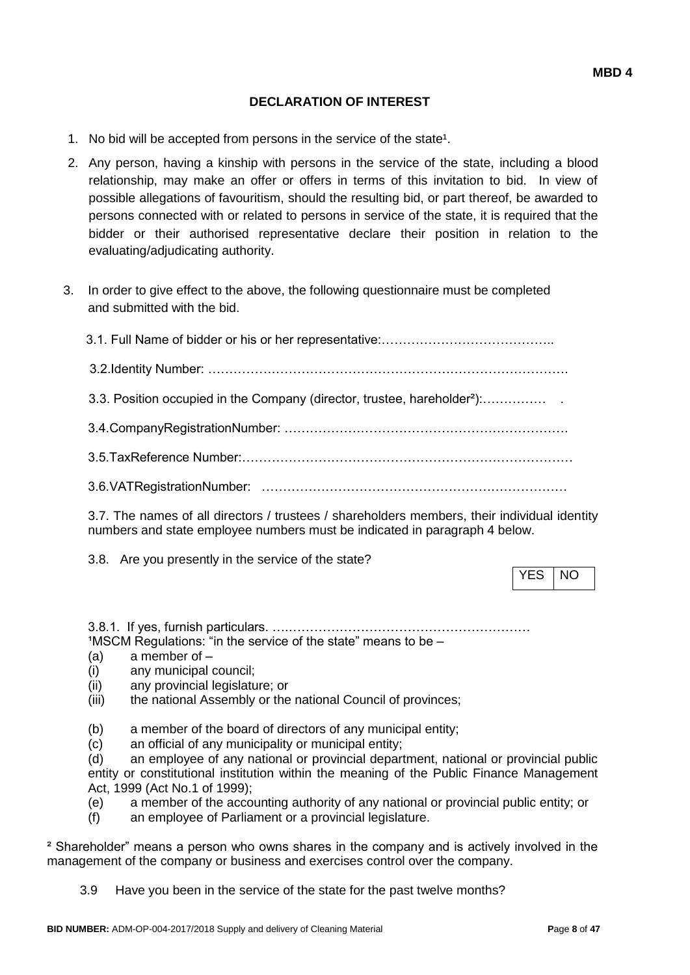### **DECLARATION OF INTEREST**

- 1. No bid will be accepted from persons in the service of the state<sup>1</sup>.
- 2. Any person, having a kinship with persons in the service of the state, including a blood relationship, may make an offer or offers in terms of this invitation to bid. In view of possible allegations of favouritism, should the resulting bid, or part thereof, be awarded to persons connected with or related to persons in service of the state, it is required that the bidder or their authorised representative declare their position in relation to the evaluating/adjudicating authority.
- 3. In order to give effect to the above, the following questionnaire must be completed and submitted with the bid.

| 3.3. Position occupied in the Company (director, trustee, hareholder <sup>2</sup> ): |
|--------------------------------------------------------------------------------------|
|                                                                                      |
|                                                                                      |
|                                                                                      |
|                                                                                      |

3.7. The names of all directors / trustees / shareholders members, their individual identity numbers and state employee numbers must be indicated in paragraph 4 below.

3.8. Are you presently in the service of the state?

YES INO

3.8.1. If yes, furnish particulars. ….…………………………………………………  $1$ MSCM Regulations: "in the service of the state" means to be  $-$ 

- (a) a member of –
- (i) any municipal council;
- (ii) any provincial legislature; or
- (iii) the national Assembly or the national Council of provinces;
- (b) a member of the board of directors of any municipal entity;
- (c) an official of any municipality or municipal entity;

(d) an employee of any national or provincial department, national or provincial public entity or constitutional institution within the meaning of the Public Finance Management Act, 1999 (Act No.1 of 1999);

- (e) a member of the accounting authority of any national or provincial public entity; or
- (f) an employee of Parliament or a provincial legislature.

² Shareholder" means a person who owns shares in the company and is actively involved in the management of the company or business and exercises control over the company.

3.9 Have you been in the service of the state for the past twelve months?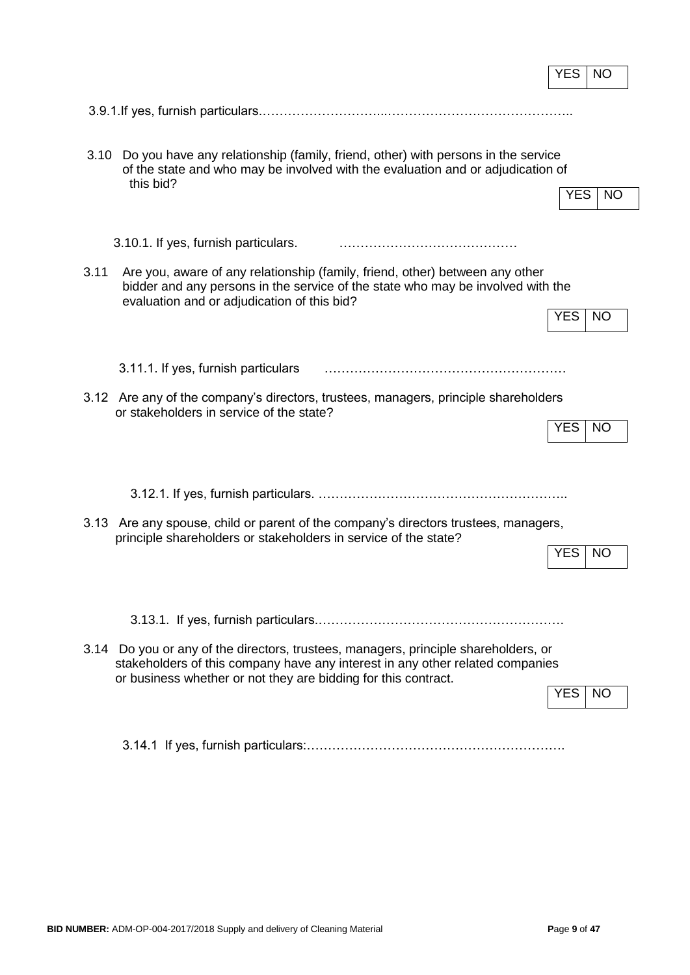|      |                                                                                                                                                                                                                                        | YES        | NO        |
|------|----------------------------------------------------------------------------------------------------------------------------------------------------------------------------------------------------------------------------------------|------------|-----------|
|      |                                                                                                                                                                                                                                        |            |           |
| 3.10 | Do you have any relationship (family, friend, other) with persons in the service<br>of the state and who may be involved with the evaluation and or adjudication of<br>this bid?                                                       | YES.       | <b>NO</b> |
|      | 3.10.1. If yes, furnish particulars.                                                                                                                                                                                                   |            |           |
| 3.11 | Are you, aware of any relationship (family, friend, other) between any other<br>bidder and any persons in the service of the state who may be involved with the<br>evaluation and or adjudication of this bid?                         | <b>YES</b> | <b>NO</b> |
|      | 3.11.1. If yes, furnish particulars                                                                                                                                                                                                    |            |           |
|      | 3.12 Are any of the company's directors, trustees, managers, principle shareholders<br>or stakeholders in service of the state?                                                                                                        | <b>YES</b> | <b>NO</b> |
|      |                                                                                                                                                                                                                                        |            |           |
|      | 3.13 Are any spouse, child or parent of the company's directors trustees, managers,<br>principle shareholders or stakeholders in service of the state?                                                                                 | <b>YES</b> | <b>NO</b> |
|      | 3.14 Do you or any of the directors, trustees, managers, principle shareholders, or<br>stakeholders of this company have any interest in any other related companies<br>or business whether or not they are bidding for this contract. | YES        | NO.       |
|      |                                                                                                                                                                                                                                        |            |           |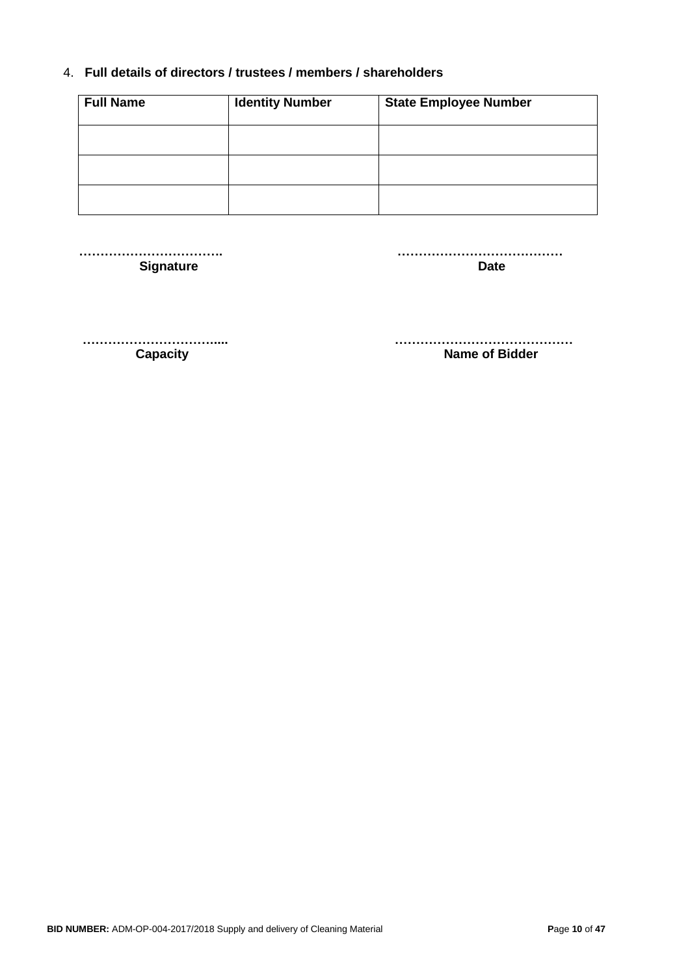### 4. **Full details of directors / trustees / members / shareholders**

| <b>Full Name</b> | <b>Identity Number</b> | <b>State Employee Number</b> |
|------------------|------------------------|------------------------------|
|                  |                        |                              |
|                  |                        |                              |
|                  |                        |                              |

**Signature Date** 

 **……………………………. …………………………………**

 **…………………………..... ……………………………………**

**Capacity Capacity Name of Bidder**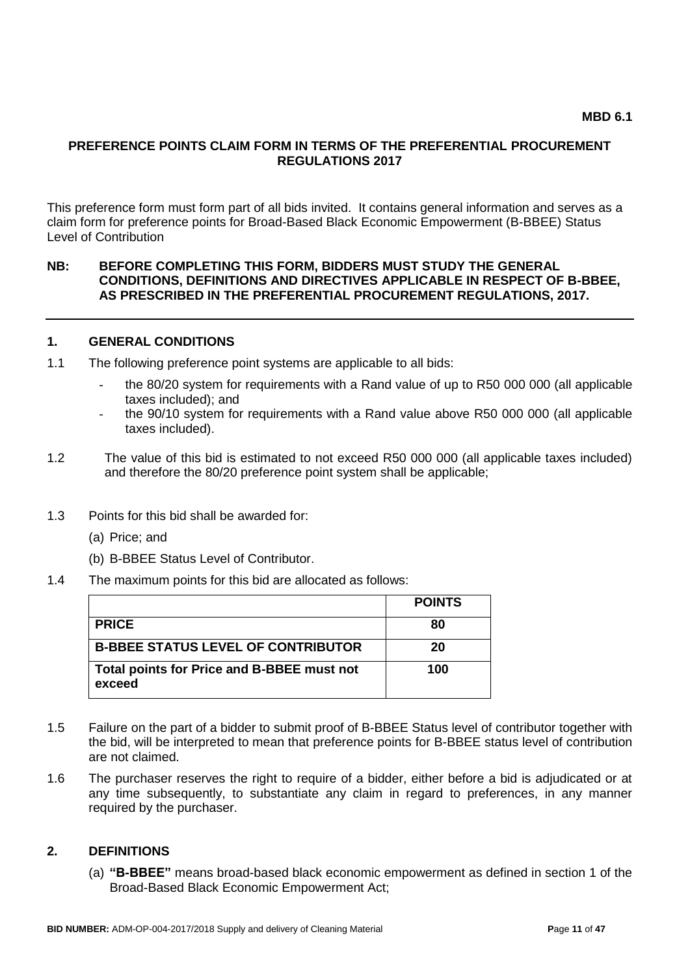#### **PREFERENCE POINTS CLAIM FORM IN TERMS OF THE PREFERENTIAL PROCUREMENT REGULATIONS 2017**

This preference form must form part of all bids invited. It contains general information and serves as a claim form for preference points for Broad-Based Black Economic Empowerment (B-BBEE) Status Level of Contribution

#### **NB: BEFORE COMPLETING THIS FORM, BIDDERS MUST STUDY THE GENERAL CONDITIONS, DEFINITIONS AND DIRECTIVES APPLICABLE IN RESPECT OF B-BBEE, AS PRESCRIBED IN THE PREFERENTIAL PROCUREMENT REGULATIONS, 2017.**

#### **1. GENERAL CONDITIONS**

- 1.1 The following preference point systems are applicable to all bids:
	- the 80/20 system for requirements with a Rand value of up to R50 000 000 (all applicable taxes included); and
	- the 90/10 system for requirements with a Rand value above R50 000 000 (all applicable taxes included).
- 1.2 The value of this bid is estimated to not exceed R50 000 000 (all applicable taxes included) and therefore the 80/20 preference point system shall be applicable;
- 1.3 Points for this bid shall be awarded for:
	- (a) Price; and
	- (b) B-BBEE Status Level of Contributor.
- 1.4 The maximum points for this bid are allocated as follows:

|                                                      | <b>POINTS</b> |
|------------------------------------------------------|---------------|
| <b>PRICE</b>                                         | 80            |
| <b>B-BBEE STATUS LEVEL OF CONTRIBUTOR</b>            | 20            |
| Total points for Price and B-BBEE must not<br>exceed | 100           |

- 1.5 Failure on the part of a bidder to submit proof of B-BBEE Status level of contributor together with the bid, will be interpreted to mean that preference points for B-BBEE status level of contribution are not claimed.
- 1.6 The purchaser reserves the right to require of a bidder, either before a bid is adjudicated or at any time subsequently, to substantiate any claim in regard to preferences, in any manner required by the purchaser.

#### **2. DEFINITIONS**

(a) **"B-BBEE"** means broad-based black economic empowerment as defined in section 1 of the Broad-Based Black Economic Empowerment Act;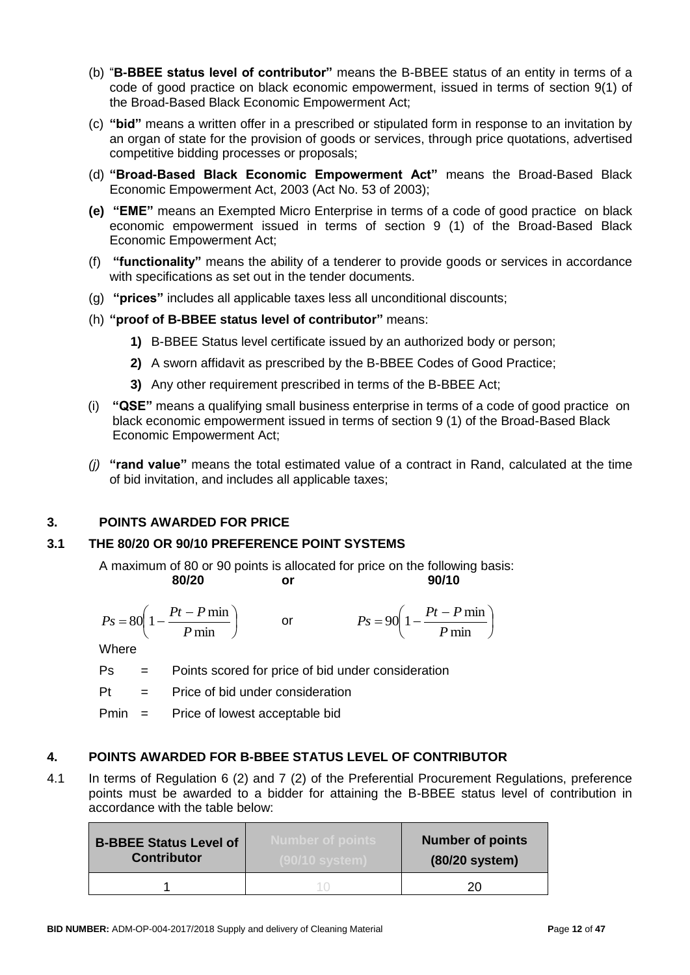- (b) "**B-BBEE status level of contributor"** means the B-BBEE status of an entity in terms of a code of good practice on black economic empowerment, issued in terms of section 9(1) of the Broad-Based Black Economic Empowerment Act;
- (c) **"bid"** means a written offer in a prescribed or stipulated form in response to an invitation by an organ of state for the provision of goods or services, through price quotations, advertised competitive bidding processes or proposals;
- (d) **"Broad-Based Black Economic Empowerment Act"** means the Broad-Based Black Economic Empowerment Act, 2003 (Act No. 53 of 2003);
- **(e) "EME"** means an Exempted Micro Enterprise in terms of a code of good practice on black economic empowerment issued in terms of section 9 (1) of the Broad-Based Black Economic Empowerment Act;
- (f) **"functionality"** means the ability of a tenderer to provide goods or services in accordance with specifications as set out in the tender documents.
- (g) **"prices"** includes all applicable taxes less all unconditional discounts;
- (h) **"proof of B-BBEE status level of contributor"** means:
	- **1)** B-BBEE Status level certificate issued by an authorized body or person;
	- **2)** A sworn affidavit as prescribed by the B-BBEE Codes of Good Practice;
	- **3)** Any other requirement prescribed in terms of the B-BBEE Act;
- (i) **"QSE"** means a qualifying small business enterprise in terms of a code of good practice on black economic empowerment issued in terms of section 9 (1) of the Broad-Based Black Economic Empowerment Act;
- *(j)* **"rand value"** means the total estimated value of a contract in Rand, calculated at the time of bid invitation, and includes all applicable taxes;

### **3. POINTS AWARDED FOR PRICE**

### **3.1 THE 80/20 OR 90/10 PREFERENCE POINT SYSTEMS**

A maximum of 80 or 90 points is allocated for price on the following basis:

$$
x\in \mathbb{R}^n
$$

**80/20 or 90/10**

$$
Ps = 80 \left( 1 - \frac{Pt - P \min}{P \min} \right) \qquad \text{or} \qquad \qquad Ps = 90 \left( 1 - \frac{Pt - P \min}{P \min} \right)
$$

**Where** 

Ps = Points scored for price of bid under consideration

 $Pt =$  Price of bid under consideration

Pmin = Price of lowest acceptable bid

### **4. POINTS AWARDED FOR B-BBEE STATUS LEVEL OF CONTRIBUTOR**

4.1 In terms of Regulation 6 (2) and 7 (2) of the Preferential Procurement Regulations, preference points must be awarded to a bidder for attaining the B-BBEE status level of contribution in accordance with the table below:

| <b>B-BBEE Status Level of</b> | Number of points     | <b>Number of points</b> |
|-------------------------------|----------------------|-------------------------|
| <b>Contributor</b>            | <u>(90/10 system</u> | (80/20 system)          |
|                               |                      | 20                      |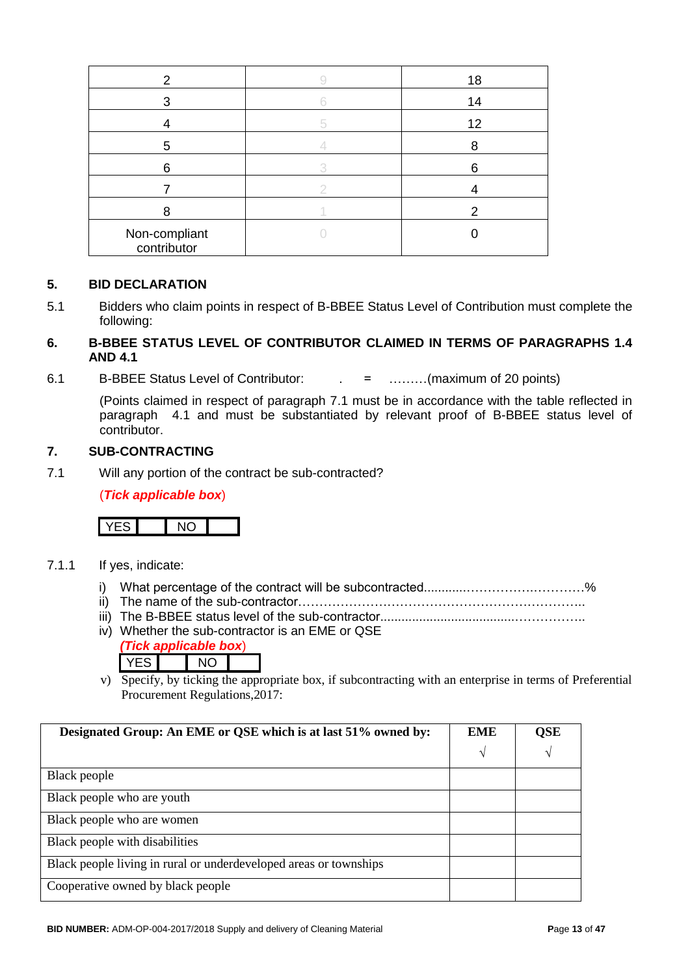| 2                            | 18 |
|------------------------------|----|
| 3                            | 14 |
|                              | 12 |
| 5                            |    |
| 6                            | 6  |
|                              |    |
|                              | 2  |
| Non-compliant<br>contributor |    |

### **5. BID DECLARATION**

5.1 Bidders who claim points in respect of B-BBEE Status Level of Contribution must complete the following:

### **6. B-BBEE STATUS LEVEL OF CONTRIBUTOR CLAIMED IN TERMS OF PARAGRAPHS 1.4 AND 4.1**

6.1 B-BBEE Status Level of Contributor: . = ………(maximum of 20 points)

(Points claimed in respect of paragraph 7.1 must be in accordance with the table reflected in paragraph 4.1 and must be substantiated by relevant proof of B-BBEE status level of contributor.

#### **7. SUB-CONTRACTING**

7.1 Will any portion of the contract be sub-contracted?

(*Tick applicable box*)



- 7.1.1 If yes, indicate:
	- i) What percentage of the contract will be subcontracted............…………….…………%
	- ii) The name of the sub-contractor…………………………………………………………..
	- iii) The B-BBEE status level of the sub-contractor......................................……………..
	- iv) Whether the sub-contractor is an EME or QSE *(Tick applicable box*)
		- YES NO
	- v) Specify, by ticking the appropriate box, if subcontracting with an enterprise in terms of Preferential Procurement Regulations,2017:

| Designated Group: An EME or QSE which is at last 51% owned by:    |   | <b>QSE</b> |
|-------------------------------------------------------------------|---|------------|
|                                                                   | V | V          |
| Black people                                                      |   |            |
| Black people who are youth                                        |   |            |
| Black people who are women                                        |   |            |
| Black people with disabilities                                    |   |            |
| Black people living in rural or underdeveloped areas or townships |   |            |
| Cooperative owned by black people                                 |   |            |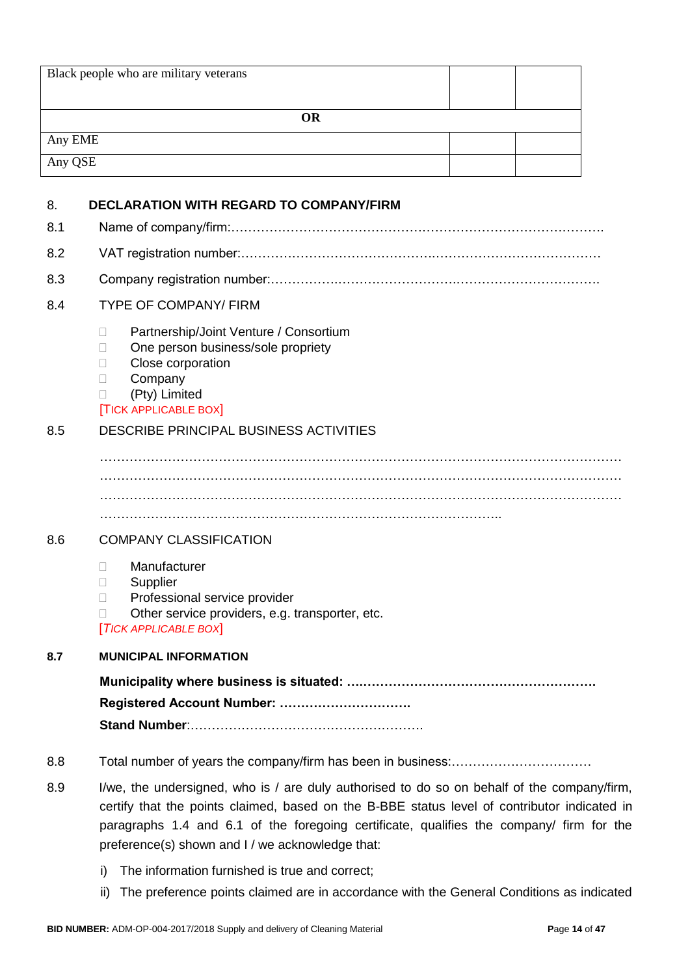| <b>OR</b><br>Any EME<br>Any QSE<br><b>DECLARATION WITH REGARD TO COMPANY/FIRM</b><br>8.<br>8.1<br>8.2<br>8.3<br><b>TYPE OF COMPANY/ FIRM</b><br>8.4                                                                                                                                                                                                |  |
|----------------------------------------------------------------------------------------------------------------------------------------------------------------------------------------------------------------------------------------------------------------------------------------------------------------------------------------------------|--|
|                                                                                                                                                                                                                                                                                                                                                    |  |
|                                                                                                                                                                                                                                                                                                                                                    |  |
|                                                                                                                                                                                                                                                                                                                                                    |  |
|                                                                                                                                                                                                                                                                                                                                                    |  |
|                                                                                                                                                                                                                                                                                                                                                    |  |
|                                                                                                                                                                                                                                                                                                                                                    |  |
|                                                                                                                                                                                                                                                                                                                                                    |  |
|                                                                                                                                                                                                                                                                                                                                                    |  |
|                                                                                                                                                                                                                                                                                                                                                    |  |
| Partnership/Joint Venture / Consortium<br>П<br>One person business/sole propriety<br>$\mathbf{L}$<br>Close corporation<br>$\Box$<br>Company<br>$\Box$<br>(Pty) Limited<br><b>TICK APPLICABLE BOX</b>                                                                                                                                               |  |
| DESCRIBE PRINCIPAL BUSINESS ACTIVITIES<br>8.5                                                                                                                                                                                                                                                                                                      |  |
|                                                                                                                                                                                                                                                                                                                                                    |  |
| <b>COMPANY CLASSIFICATION</b><br>8.6                                                                                                                                                                                                                                                                                                               |  |
| Manufacturer<br>$\mathbf{L}$<br>Supplier<br>$\Box$<br>Professional service provider<br>$\mathbf{L}$<br>Other service providers, e.g. transporter, etc.<br>$\mathbb{R}^n$<br>[TICK APPLICABLE BOX]                                                                                                                                                  |  |
| 8.7<br><b>MUNICIPAL INFORMATION</b>                                                                                                                                                                                                                                                                                                                |  |
|                                                                                                                                                                                                                                                                                                                                                    |  |
|                                                                                                                                                                                                                                                                                                                                                    |  |
|                                                                                                                                                                                                                                                                                                                                                    |  |
| 8.8                                                                                                                                                                                                                                                                                                                                                |  |
| I/we, the undersigned, who is / are duly authorised to do so on behalf of the company/firm,<br>8.9<br>certify that the points claimed, based on the B-BBE status level of contributor indicated in<br>paragraphs 1.4 and 6.1 of the foregoing certificate, qualifies the company/ firm for the<br>preference(s) shown and I / we acknowledge that: |  |
| The information furnished is true and correct;<br>i)<br>The preference points claimed are in accordance with the General Conditions as indicated<br>ii)                                                                                                                                                                                            |  |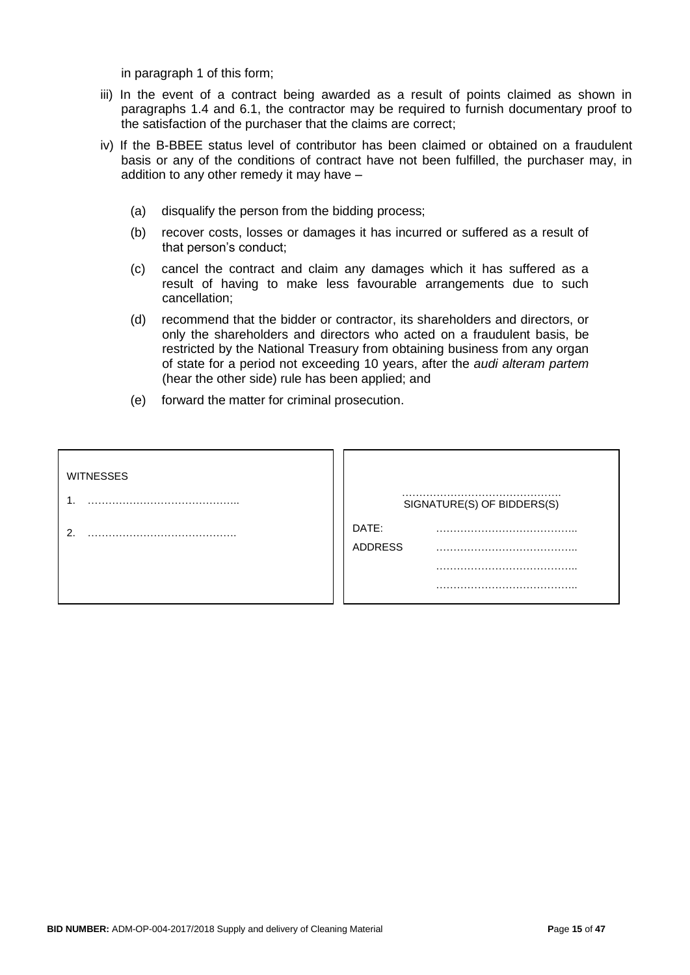in paragraph 1 of this form;

- iii) In the event of a contract being awarded as a result of points claimed as shown in paragraphs 1.4 and 6.1, the contractor may be required to furnish documentary proof to the satisfaction of the purchaser that the claims are correct;
- iv) If the B-BBEE status level of contributor has been claimed or obtained on a fraudulent basis or any of the conditions of contract have not been fulfilled, the purchaser may, in addition to any other remedy it may have –
	- (a) disqualify the person from the bidding process;
	- (b) recover costs, losses or damages it has incurred or suffered as a result of that person's conduct;
	- (c) cancel the contract and claim any damages which it has suffered as a result of having to make less favourable arrangements due to such cancellation;
	- (d) recommend that the bidder or contractor, its shareholders and directors, or only the shareholders and directors who acted on a fraudulent basis, be restricted by the National Treasury from obtaining business from any organ of state for a period not exceeding 10 years, after the *audi alteram partem* (hear the other side) rule has been applied; and
	- (e) forward the matter for criminal prosecution.

| <b>WITNESSES</b> |                            |
|------------------|----------------------------|
|                  | SIGNATURE(S) OF BIDDERS(S) |
| ົ                | DATE:<br><b>ADDRESS</b>    |
|                  | -----                      |
|                  |                            |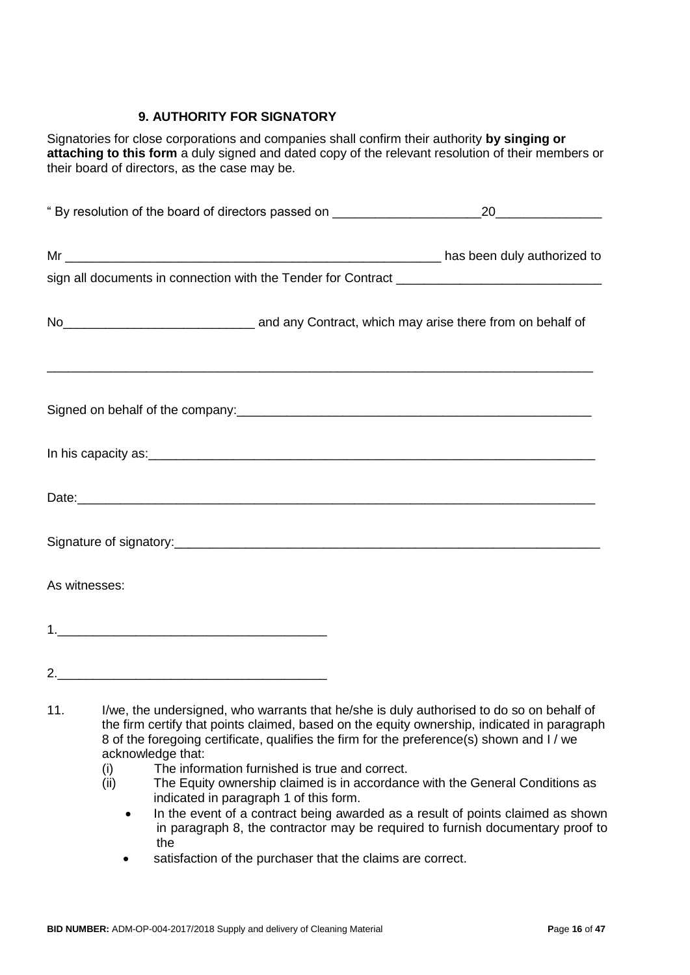### **9. AUTHORITY FOR SIGNATORY**

Signatories for close corporations and companies shall confirm their authority **by singing or attaching to this form** a duly signed and dated copy of the relevant resolution of their members or their board of directors, as the case may be.

| No <sub>__________________________________</sub> and any Contract, which may arise there from on behalf of             |                                                                                              |
|------------------------------------------------------------------------------------------------------------------------|----------------------------------------------------------------------------------------------|
|                                                                                                                        |                                                                                              |
| In his capacity as: <u>example and the contract of the contract of the contract of the contract of the contract of</u> |                                                                                              |
|                                                                                                                        |                                                                                              |
|                                                                                                                        |                                                                                              |
| As witnesses:                                                                                                          |                                                                                              |
|                                                                                                                        |                                                                                              |
|                                                                                                                        |                                                                                              |
|                                                                                                                        | 11. I/we, the undersigned, who warrants that he/she is duly authorised to do so on behalf of |

- the firm certify that points claimed, based on the equity ownership, indicated in paragraph 8 of the foregoing certificate, qualifies the firm for the preference(s) shown and I / we acknowledge that:
	- (i) The information furnished is true and correct.
	- (ii) The Equity ownership claimed is in accordance with the General Conditions as indicated in paragraph 1 of this form.
		- In the event of a contract being awarded as a result of points claimed as shown in paragraph 8, the contractor may be required to furnish documentary proof to the
		- satisfaction of the purchaser that the claims are correct.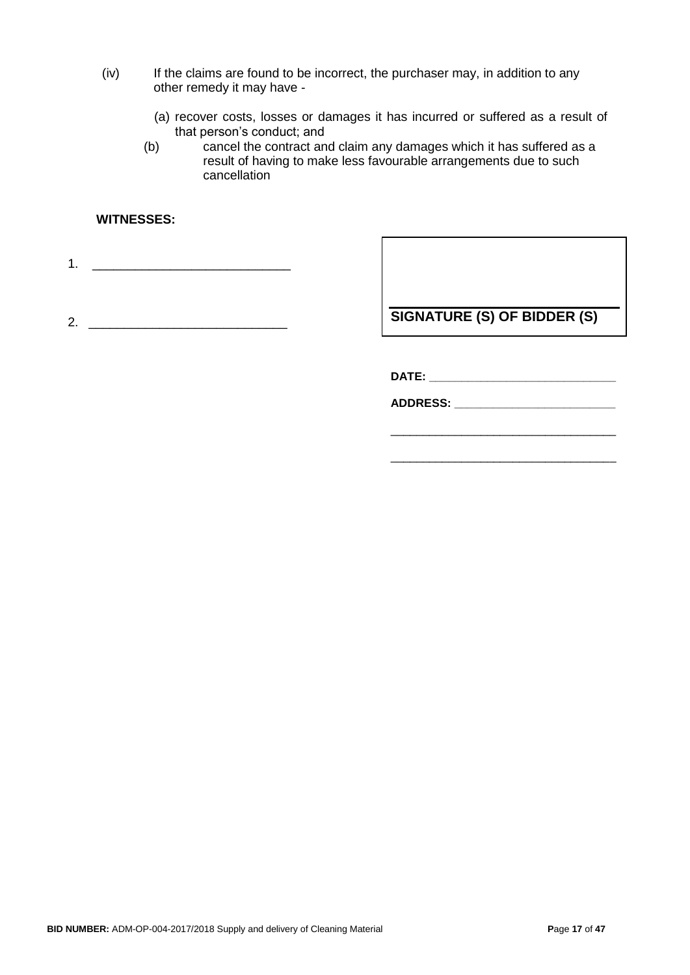- (iv) If the claims are found to be incorrect, the purchaser may, in addition to any other remedy it may have -
	- (a) recover costs, losses or damages it has incurred or suffered as a result of that person's conduct; and
	- (b) cancel the contract and claim any damages which it has suffered as a result of having to make less favourable arrangements due to such cancellation

### **WITNESSES:**

1. \_\_\_\_\_\_\_\_\_\_\_\_\_\_\_\_\_\_\_\_\_\_\_\_\_\_\_\_

2. \_\_\_\_\_\_\_\_\_\_\_\_\_\_\_\_\_\_\_\_\_\_\_\_\_\_\_\_

**SIGNATURE (S) OF BIDDER (S)**

**DATE: \_\_\_\_\_\_\_\_\_\_\_\_\_\_\_\_\_\_\_\_\_\_\_\_\_\_\_\_\_**

**ADDRESS: \_\_\_\_\_\_\_\_\_\_\_\_\_\_\_\_\_\_\_\_\_\_\_\_\_**

\_\_\_\_\_\_\_\_\_\_\_\_\_\_\_\_\_\_\_\_\_\_\_\_\_\_\_\_\_\_\_\_\_\_\_

\_\_\_\_\_\_\_\_\_\_\_\_\_\_\_\_\_\_\_\_\_\_\_\_\_\_\_\_\_\_\_\_\_\_\_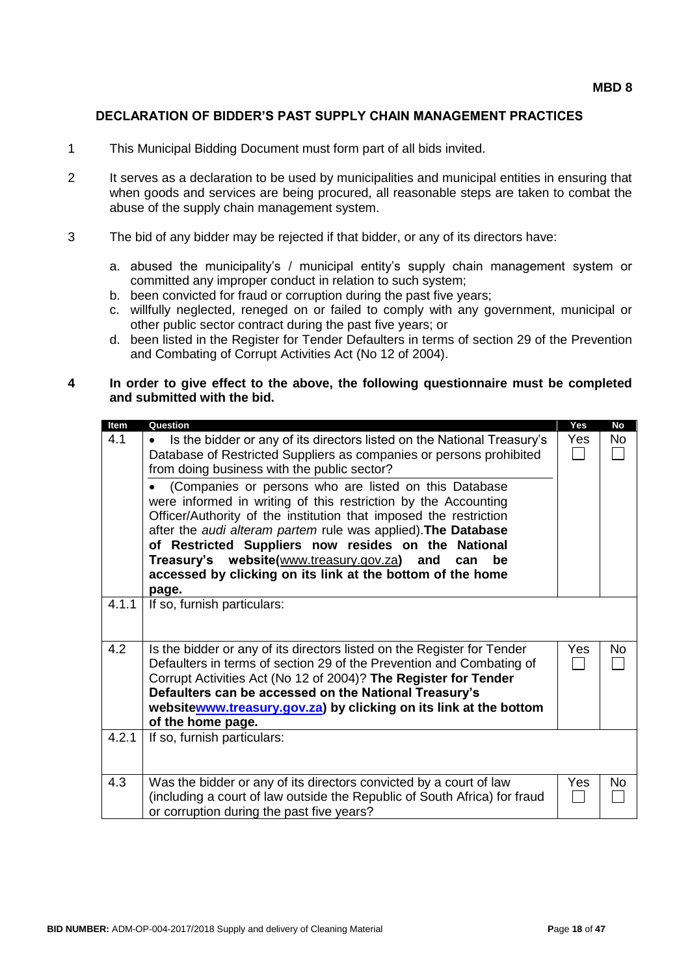#### **DECLARATION OF BIDDER'S PAST SUPPLY CHAIN MANAGEMENT PRACTICES**

- 1 This Municipal Bidding Document must form part of all bids invited.
- 2 It serves as a declaration to be used by municipalities and municipal entities in ensuring that when goods and services are being procured, all reasonable steps are taken to combat the abuse of the supply chain management system.
- 3 The bid of any bidder may be rejected if that bidder, or any of its directors have:
	- a. abused the municipality's / municipal entity's supply chain management system or committed any improper conduct in relation to such system;
	- b. been convicted for fraud or corruption during the past five years;
	- c. willfully neglected, reneged on or failed to comply with any government, municipal or other public sector contract during the past five years; or
	- d. been listed in the Register for Tender Defaulters in terms of section 29 of the Prevention and Combating of Corrupt Activities Act (No 12 of 2004).

#### **4 In order to give effect to the above, the following questionnaire must be completed and submitted with the bid.**

| Item  | Question                                                                             | Yes        | <b>No</b> |
|-------|--------------------------------------------------------------------------------------|------------|-----------|
| 4.1   | Is the bidder or any of its directors listed on the National Treasury's<br>$\bullet$ | Yes        | No        |
|       | Database of Restricted Suppliers as companies or persons prohibited                  |            |           |
|       | from doing business with the public sector?                                          |            |           |
|       | (Companies or persons who are listed on this Database                                |            |           |
|       | were informed in writing of this restriction by the Accounting                       |            |           |
|       | Officer/Authority of the institution that imposed the restriction                    |            |           |
|       | after the audi alteram partem rule was applied). The Database                        |            |           |
|       | of Restricted Suppliers now resides on the National                                  |            |           |
|       | Treasury's website(www.treasury.gov.za) and<br>can<br>be                             |            |           |
|       | accessed by clicking on its link at the bottom of the home                           |            |           |
| 4.1.1 | page.                                                                                |            |           |
|       | If so, furnish particulars:                                                          |            |           |
|       |                                                                                      |            |           |
| 4.2   | Is the bidder or any of its directors listed on the Register for Tender              | <b>Yes</b> | <b>No</b> |
|       | Defaulters in terms of section 29 of the Prevention and Combating of                 |            |           |
|       | Corrupt Activities Act (No 12 of 2004)? The Register for Tender                      |            |           |
|       | Defaulters can be accessed on the National Treasury's                                |            |           |
|       | websitewww.treasury.gov.za) by clicking on its link at the bottom                    |            |           |
|       | of the home page.                                                                    |            |           |
| 4.2.1 | If so, furnish particulars:                                                          |            |           |
|       |                                                                                      |            |           |
|       |                                                                                      |            |           |
| 4.3   | Was the bidder or any of its directors convicted by a court of law                   | <b>Yes</b> | No        |
|       | (including a court of law outside the Republic of South Africa) for fraud            |            |           |
|       | or corruption during the past five years?                                            |            |           |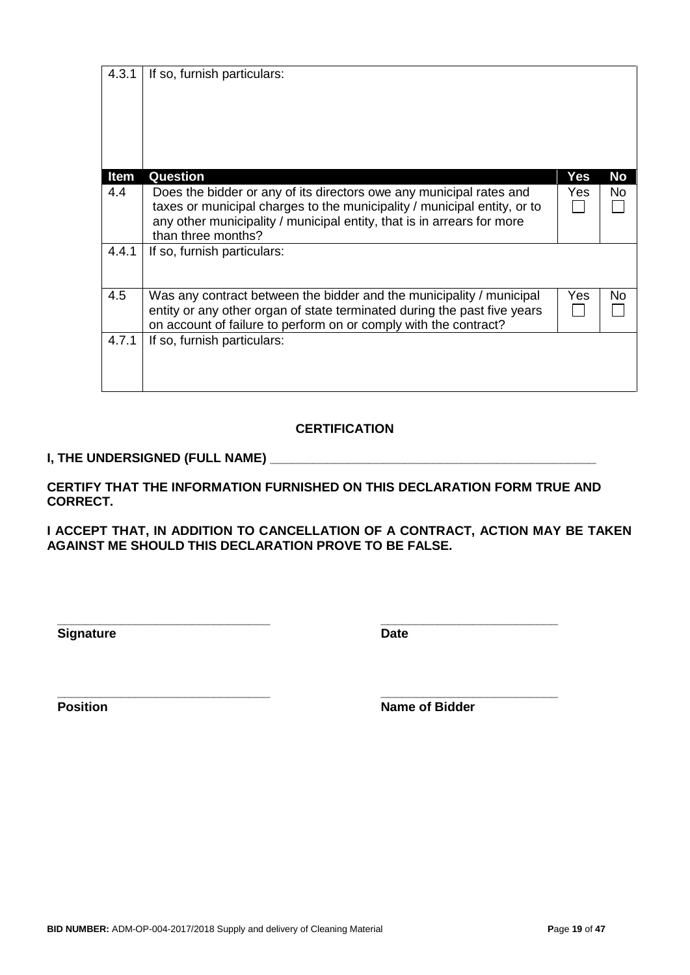| 4.3.1 | If so, furnish particulars:                                                                                                                                                                                               |     |    |
|-------|---------------------------------------------------------------------------------------------------------------------------------------------------------------------------------------------------------------------------|-----|----|
|       |                                                                                                                                                                                                                           |     |    |
|       |                                                                                                                                                                                                                           |     |    |
|       |                                                                                                                                                                                                                           |     |    |
|       |                                                                                                                                                                                                                           |     |    |
| Item  | <b>Question</b>                                                                                                                                                                                                           | Yes | No |
| 4.4   | Does the bidder or any of its directors owe any municipal rates and<br>taxes or municipal charges to the municipality / municipal entity, or to<br>any other municipality / municipal entity, that is in arrears for more | Yes | No |
|       | than three months?                                                                                                                                                                                                        |     |    |
| 4.4.1 | If so, furnish particulars:                                                                                                                                                                                               |     |    |
| 4.5   | Was any contract between the bidder and the municipality / municipal<br>entity or any other organ of state terminated during the past five years<br>on account of failure to perform on or comply with the contract?      | Yes | No |
| 4.7.1 | If so, furnish particulars:                                                                                                                                                                                               |     |    |
|       |                                                                                                                                                                                                                           |     |    |
|       |                                                                                                                                                                                                                           |     |    |
|       | <b>CERTIFICATION</b>                                                                                                                                                                                                      |     |    |

# **I, THE UNDERSIGNED (FULL NAME) \_\_\_\_\_\_\_\_\_\_\_\_\_\_\_\_\_\_\_\_\_\_\_\_\_\_\_\_\_\_\_\_\_\_\_\_\_\_\_\_\_\_\_\_\_\_**

**CERTIFY THAT THE INFORMATION FURNISHED ON THIS DECLARATION FORM TRUE AND CORRECT.**

**I ACCEPT THAT, IN ADDITION TO CANCELLATION OF A CONTRACT, ACTION MAY BE TAKEN AGAINST ME SHOULD THIS DECLARATION PROVE TO BE FALSE.**

**Signature Date** 

**\_\_\_\_\_\_\_\_\_\_\_\_\_\_\_\_\_\_\_\_\_\_\_\_\_\_\_\_\_\_ \_\_\_\_\_\_\_\_\_\_\_\_\_\_\_\_\_\_\_\_\_\_\_\_\_**

**\_\_\_\_\_\_\_\_\_\_\_\_\_\_\_\_\_\_\_\_\_\_\_\_\_\_\_\_\_\_ \_\_\_\_\_\_\_\_\_\_\_\_\_\_\_\_\_\_\_\_\_\_\_\_\_ Position Name of Bidder**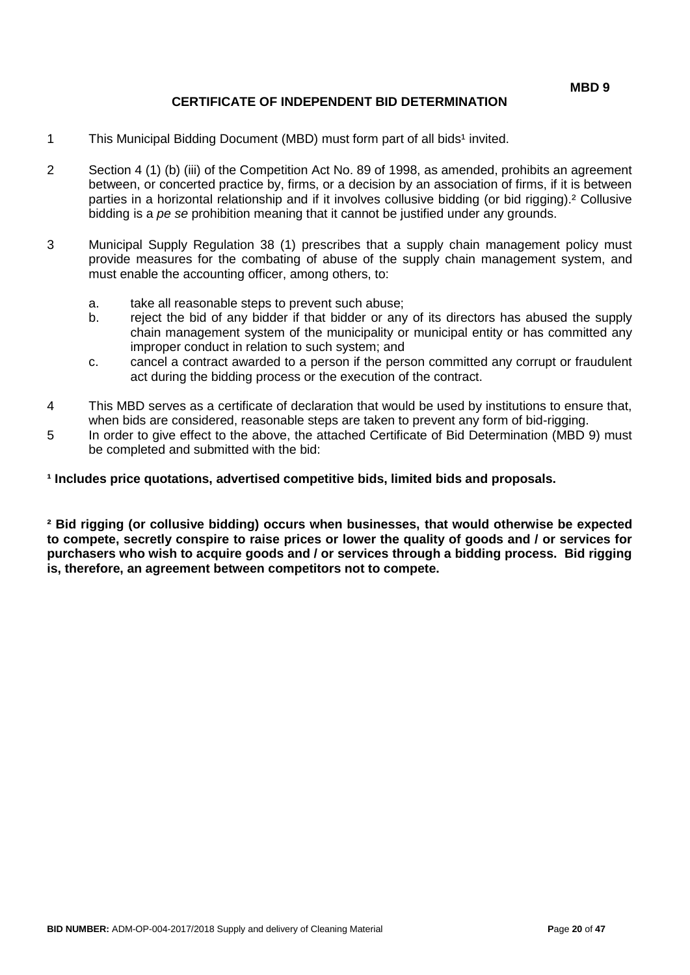### **CERTIFICATE OF INDEPENDENT BID DETERMINATION**

- 1 This Municipal Bidding Document (MBD) must form part of all bids<sup>1</sup> invited.
- 2 Section 4 (1) (b) (iii) of the Competition Act No. 89 of 1998, as amended, prohibits an agreement between, or concerted practice by, firms, or a decision by an association of firms, if it is between parties in a horizontal relationship and if it involves collusive bidding (or bid rigging).² Collusive bidding is a *pe se* prohibition meaning that it cannot be justified under any grounds.
- 3 Municipal Supply Regulation 38 (1) prescribes that a supply chain management policy must provide measures for the combating of abuse of the supply chain management system, and must enable the accounting officer, among others, to:
	- a. take all reasonable steps to prevent such abuse;
	- b. reject the bid of any bidder if that bidder or any of its directors has abused the supply chain management system of the municipality or municipal entity or has committed any improper conduct in relation to such system; and
	- c. cancel a contract awarded to a person if the person committed any corrupt or fraudulent act during the bidding process or the execution of the contract.
- 4 This MBD serves as a certificate of declaration that would be used by institutions to ensure that, when bids are considered, reasonable steps are taken to prevent any form of bid-rigging.
- 5 In order to give effect to the above, the attached Certificate of Bid Determination (MBD 9) must be completed and submitted with the bid:

**¹ Includes price quotations, advertised competitive bids, limited bids and proposals.**

**² Bid rigging (or collusive bidding) occurs when businesses, that would otherwise be expected to compete, secretly conspire to raise prices or lower the quality of goods and / or services for purchasers who wish to acquire goods and / or services through a bidding process. Bid rigging is, therefore, an agreement between competitors not to compete.**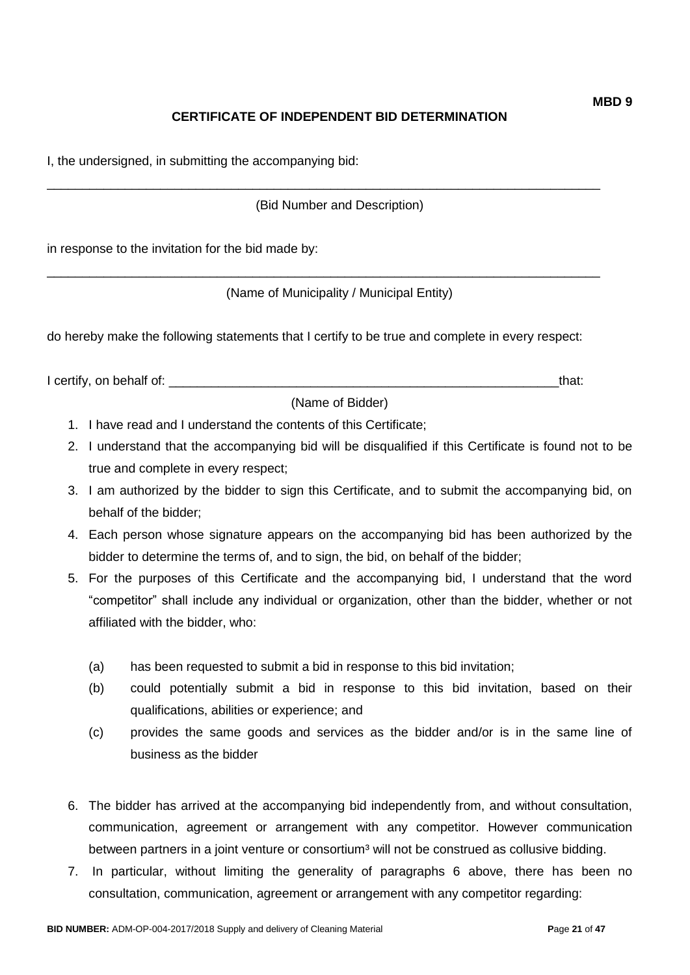## **CERTIFICATE OF INDEPENDENT BID DETERMINATION**

I, the undersigned, in submitting the accompanying bid:

(Bid Number and Description)

\_\_\_\_\_\_\_\_\_\_\_\_\_\_\_\_\_\_\_\_\_\_\_\_\_\_\_\_\_\_\_\_\_\_\_\_\_\_\_\_\_\_\_\_\_\_\_\_\_\_\_\_\_\_\_\_\_\_\_\_\_\_\_\_\_\_\_\_\_\_\_\_\_\_\_\_\_\_

\_\_\_\_\_\_\_\_\_\_\_\_\_\_\_\_\_\_\_\_\_\_\_\_\_\_\_\_\_\_\_\_\_\_\_\_\_\_\_\_\_\_\_\_\_\_\_\_\_\_\_\_\_\_\_\_\_\_\_\_\_\_\_\_\_\_\_\_\_\_\_\_\_\_\_\_\_\_

in response to the invitation for the bid made by:

(Name of Municipality / Municipal Entity)

do hereby make the following statements that I certify to be true and complete in every respect:

I certify, on behalf of: \_\_\_\_\_\_\_\_\_\_\_\_\_\_\_\_\_\_\_\_\_\_\_\_\_\_\_\_\_\_\_\_\_\_\_\_\_\_\_\_\_\_\_\_\_\_\_\_\_\_\_\_\_\_\_that:

(Name of Bidder)

- 1. I have read and I understand the contents of this Certificate;
- 2. I understand that the accompanying bid will be disqualified if this Certificate is found not to be true and complete in every respect;
- 3. I am authorized by the bidder to sign this Certificate, and to submit the accompanying bid, on behalf of the bidder;
- 4. Each person whose signature appears on the accompanying bid has been authorized by the bidder to determine the terms of, and to sign, the bid, on behalf of the bidder;
- 5. For the purposes of this Certificate and the accompanying bid, I understand that the word "competitor" shall include any individual or organization, other than the bidder, whether or not affiliated with the bidder, who:
	- (a) has been requested to submit a bid in response to this bid invitation;
	- (b) could potentially submit a bid in response to this bid invitation, based on their qualifications, abilities or experience; and
	- (c) provides the same goods and services as the bidder and/or is in the same line of business as the bidder
- 6. The bidder has arrived at the accompanying bid independently from, and without consultation, communication, agreement or arrangement with any competitor. However communication between partners in a joint venture or consortium<sup>3</sup> will not be construed as collusive bidding.
- 7. In particular, without limiting the generality of paragraphs 6 above, there has been no consultation, communication, agreement or arrangement with any competitor regarding: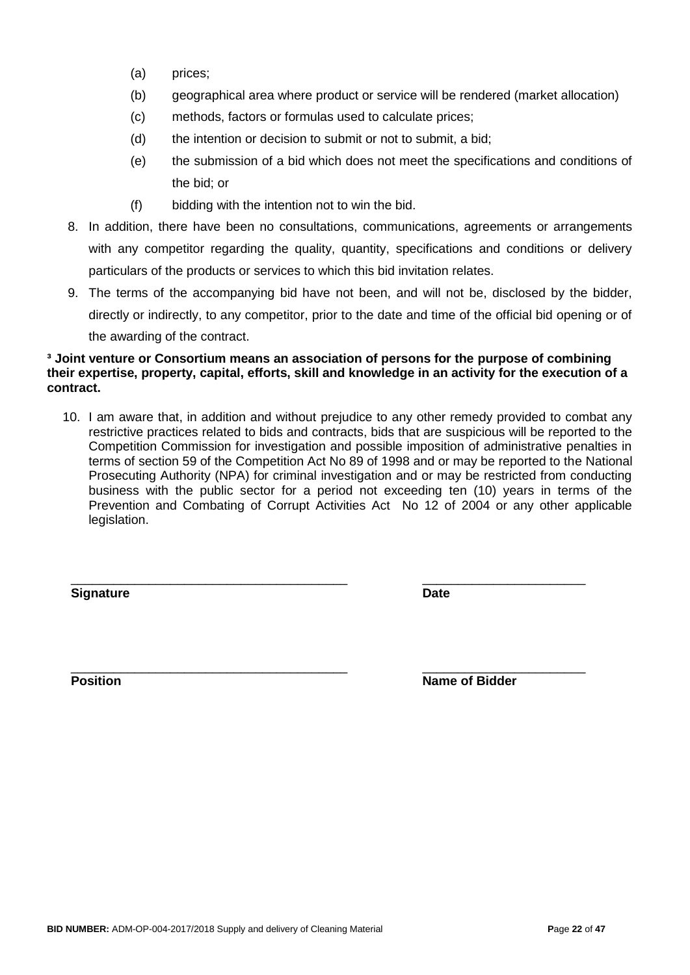- (a) prices;
- (b) geographical area where product or service will be rendered (market allocation)
- (c) methods, factors or formulas used to calculate prices;
- (d) the intention or decision to submit or not to submit, a bid;
- (e) the submission of a bid which does not meet the specifications and conditions of the bid; or
- (f) bidding with the intention not to win the bid.
- 8. In addition, there have been no consultations, communications, agreements or arrangements with any competitor regarding the quality, quantity, specifications and conditions or delivery particulars of the products or services to which this bid invitation relates.
- 9. The terms of the accompanying bid have not been, and will not be, disclosed by the bidder, directly or indirectly, to any competitor, prior to the date and time of the official bid opening or of the awarding of the contract.

### **³ Joint venture or Consortium means an association of persons for the purpose of combining their expertise, property, capital, efforts, skill and knowledge in an activity for the execution of a contract.**

10. I am aware that, in addition and without prejudice to any other remedy provided to combat any restrictive practices related to bids and contracts, bids that are suspicious will be reported to the Competition Commission for investigation and possible imposition of administrative penalties in terms of section 59 of the Competition Act No 89 of 1998 and or may be reported to the National Prosecuting Authority (NPA) for criminal investigation and or may be restricted from conducting business with the public sector for a period not exceeding ten (10) years in terms of the Prevention and Combating of Corrupt Activities Act No 12 of 2004 or any other applicable legislation.

\_\_\_\_\_\_\_\_\_\_\_\_\_\_\_\_\_\_\_\_\_\_\_\_\_\_\_\_\_\_\_\_\_\_\_\_\_\_\_ \_\_\_\_\_\_\_\_\_\_\_\_\_\_\_\_\_\_\_\_\_\_\_

**Signature Date**

\_\_\_\_\_\_\_\_\_\_\_\_\_\_\_\_\_\_\_\_\_\_\_\_\_\_\_\_\_\_\_\_\_\_\_\_\_\_\_ \_\_\_\_\_\_\_\_\_\_\_\_\_\_\_\_\_\_\_\_\_\_\_ **Position Name of Bidder**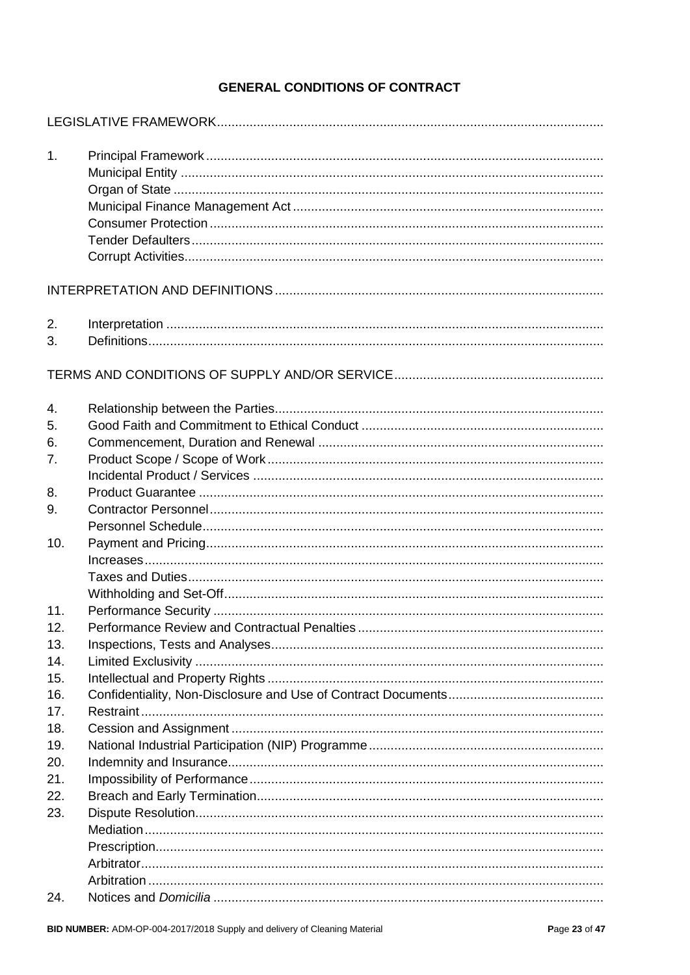## **GENERAL CONDITIONS OF CONTRACT**

| 1.  |  |
|-----|--|
|     |  |
|     |  |
|     |  |
|     |  |
|     |  |
|     |  |
| 2.  |  |
| 3.  |  |
|     |  |
|     |  |
| 4.  |  |
| 5.  |  |
| 6.  |  |
| 7.  |  |
|     |  |
| 8.  |  |
| 9.  |  |
|     |  |
| 10. |  |
|     |  |
|     |  |
|     |  |
| 11. |  |
| 12. |  |
| 13. |  |
| 14. |  |
| 15. |  |
| 16. |  |
| 17. |  |
| 18. |  |
| 19. |  |
| 20. |  |
| 21. |  |
| 22. |  |
| 23. |  |
|     |  |
|     |  |
|     |  |
|     |  |
| 24. |  |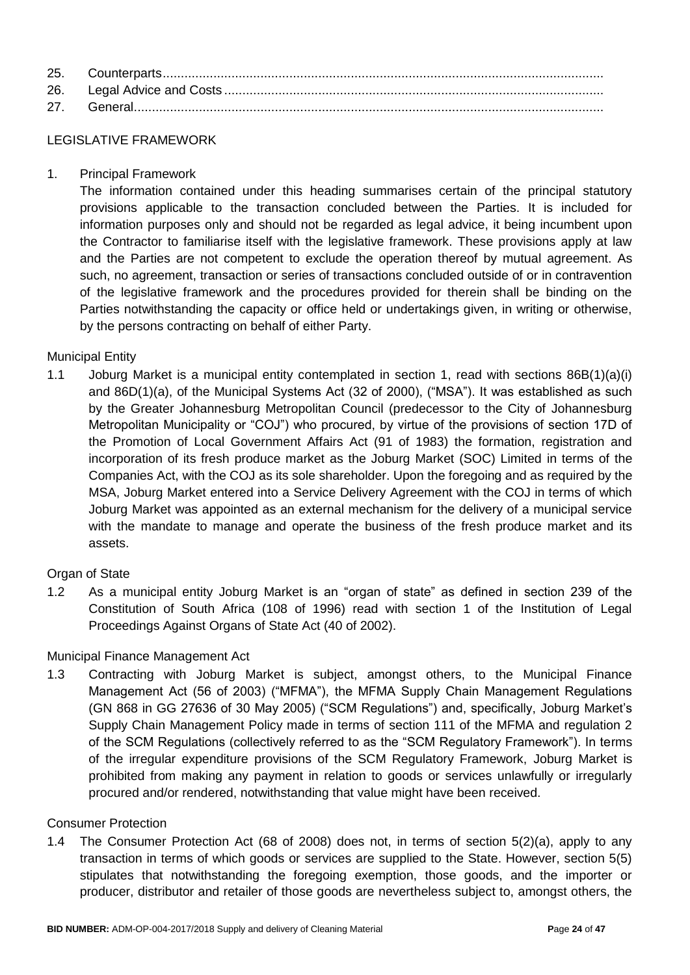#### LEGISLATIVE FRAMEWORK

1. Principal Framework

The information contained under this heading summarises certain of the principal statutory provisions applicable to the transaction concluded between the Parties. It is included for information purposes only and should not be regarded as legal advice, it being incumbent upon the Contractor to familiarise itself with the legislative framework. These provisions apply at law and the Parties are not competent to exclude the operation thereof by mutual agreement. As such, no agreement, transaction or series of transactions concluded outside of or in contravention of the legislative framework and the procedures provided for therein shall be binding on the Parties notwithstanding the capacity or office held or undertakings given, in writing or otherwise, by the persons contracting on behalf of either Party.

### Municipal Entity

1.1 Joburg Market is a municipal entity contemplated in section 1, read with sections 86B(1)(a)(i) and 86D(1)(a), of the Municipal Systems Act (32 of 2000), ("MSA"). It was established as such by the Greater Johannesburg Metropolitan Council (predecessor to the City of Johannesburg Metropolitan Municipality or "COJ") who procured, by virtue of the provisions of section 17D of the Promotion of Local Government Affairs Act (91 of 1983) the formation, registration and incorporation of its fresh produce market as the Joburg Market (SOC) Limited in terms of the Companies Act, with the COJ as its sole shareholder. Upon the foregoing and as required by the MSA, Joburg Market entered into a Service Delivery Agreement with the COJ in terms of which Joburg Market was appointed as an external mechanism for the delivery of a municipal service with the mandate to manage and operate the business of the fresh produce market and its assets.

### Organ of State

1.2 As a municipal entity Joburg Market is an "organ of state" as defined in section 239 of the Constitution of South Africa (108 of 1996) read with section 1 of the Institution of Legal Proceedings Against Organs of State Act (40 of 2002).

### Municipal Finance Management Act

1.3 Contracting with Joburg Market is subject, amongst others, to the Municipal Finance Management Act (56 of 2003) ("MFMA"), the MFMA Supply Chain Management Regulations (GN 868 in GG 27636 of 30 May 2005) ("SCM Regulations") and, specifically, Joburg Market's Supply Chain Management Policy made in terms of section 111 of the MFMA and regulation 2 of the SCM Regulations (collectively referred to as the "SCM Regulatory Framework"). In terms of the irregular expenditure provisions of the SCM Regulatory Framework, Joburg Market is prohibited from making any payment in relation to goods or services unlawfully or irregularly procured and/or rendered, notwithstanding that value might have been received.

#### Consumer Protection

1.4 The Consumer Protection Act (68 of 2008) does not, in terms of section 5(2)(a), apply to any transaction in terms of which goods or services are supplied to the State. However, section 5(5) stipulates that notwithstanding the foregoing exemption, those goods, and the importer or producer, distributor and retailer of those goods are nevertheless subject to, amongst others, the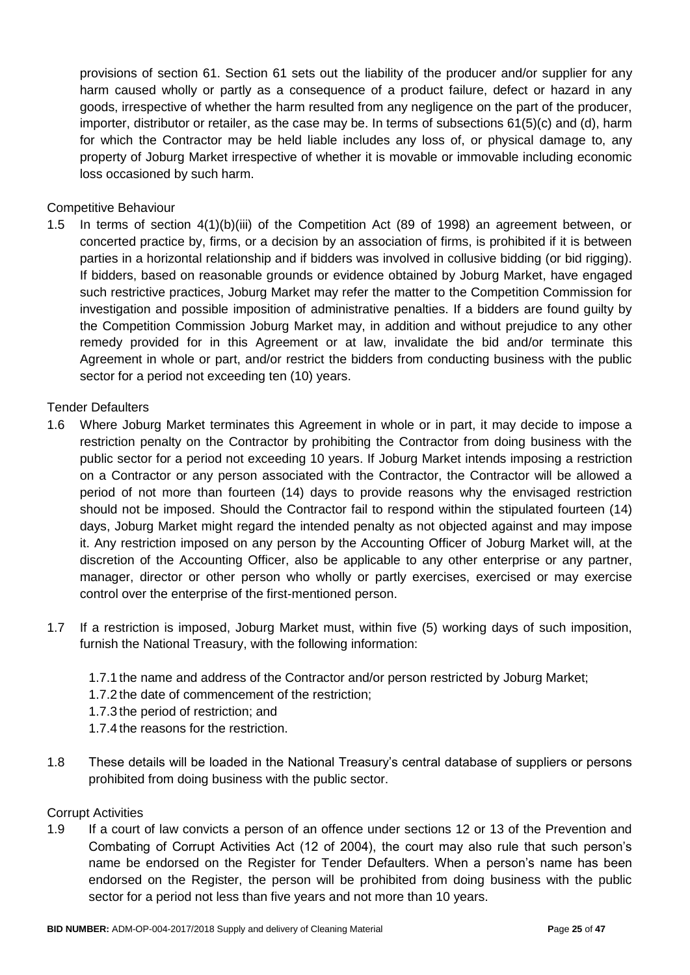provisions of section 61. Section 61 sets out the liability of the producer and/or supplier for any harm caused wholly or partly as a consequence of a product failure, defect or hazard in any goods, irrespective of whether the harm resulted from any negligence on the part of the producer, importer, distributor or retailer, as the case may be. In terms of subsections 61(5)(c) and (d), harm for which the Contractor may be held liable includes any loss of, or physical damage to, any property of Joburg Market irrespective of whether it is movable or immovable including economic loss occasioned by such harm.

### Competitive Behaviour

1.5 In terms of section 4(1)(b)(iii) of the Competition Act (89 of 1998) an agreement between, or concerted practice by, firms, or a decision by an association of firms, is prohibited if it is between parties in a horizontal relationship and if bidders was involved in collusive bidding (or bid rigging). If bidders, based on reasonable grounds or evidence obtained by Joburg Market, have engaged such restrictive practices, Joburg Market may refer the matter to the Competition Commission for investigation and possible imposition of administrative penalties. If a bidders are found guilty by the Competition Commission Joburg Market may, in addition and without prejudice to any other remedy provided for in this Agreement or at law, invalidate the bid and/or terminate this Agreement in whole or part, and/or restrict the bidders from conducting business with the public sector for a period not exceeding ten (10) years.

### Tender Defaulters

- 1.6 Where Joburg Market terminates this Agreement in whole or in part, it may decide to impose a restriction penalty on the Contractor by prohibiting the Contractor from doing business with the public sector for a period not exceeding 10 years. If Joburg Market intends imposing a restriction on a Contractor or any person associated with the Contractor, the Contractor will be allowed a period of not more than fourteen (14) days to provide reasons why the envisaged restriction should not be imposed. Should the Contractor fail to respond within the stipulated fourteen (14) days, Joburg Market might regard the intended penalty as not objected against and may impose it. Any restriction imposed on any person by the Accounting Officer of Joburg Market will, at the discretion of the Accounting Officer, also be applicable to any other enterprise or any partner, manager, director or other person who wholly or partly exercises, exercised or may exercise control over the enterprise of the first-mentioned person.
- 1.7 If a restriction is imposed, Joburg Market must, within five (5) working days of such imposition, furnish the National Treasury, with the following information:
	- 1.7.1 the name and address of the Contractor and/or person restricted by Joburg Market;
	- 1.7.2 the date of commencement of the restriction;
	- 1.7.3 the period of restriction; and
	- 1.7.4 the reasons for the restriction.
- 1.8 These details will be loaded in the National Treasury's central database of suppliers or persons prohibited from doing business with the public sector.

#### Corrupt Activities

1.9 If a court of law convicts a person of an offence under sections 12 or 13 of the Prevention and Combating of Corrupt Activities Act (12 of 2004), the court may also rule that such person's name be endorsed on the Register for Tender Defaulters. When a person's name has been endorsed on the Register, the person will be prohibited from doing business with the public sector for a period not less than five years and not more than 10 years.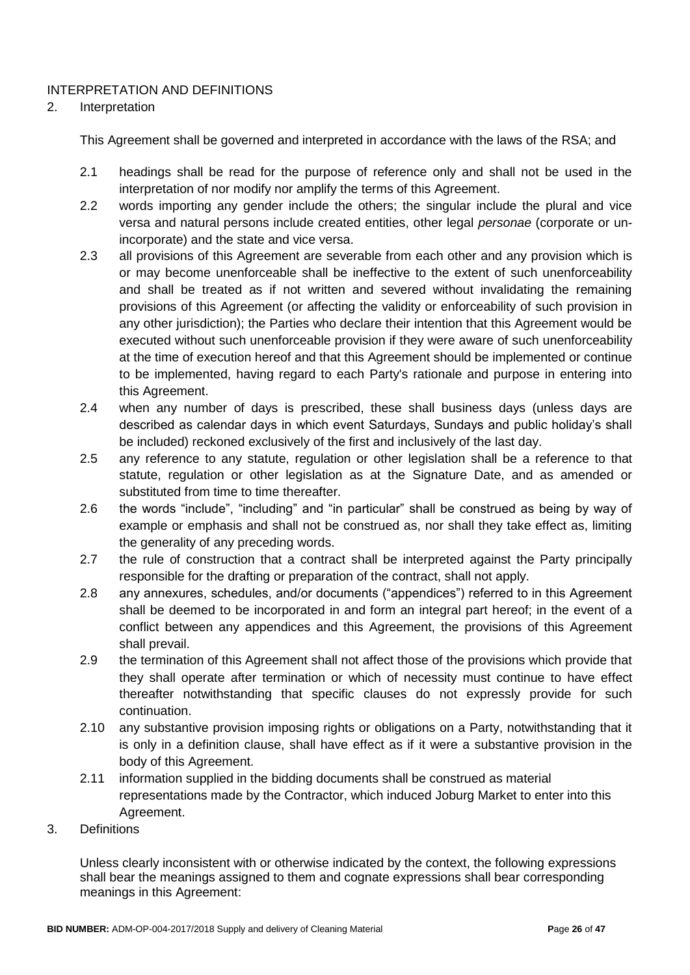### INTERPRETATION AND DEFINITIONS

### 2. Interpretation

This Agreement shall be governed and interpreted in accordance with the laws of the RSA; and

- 2.1 headings shall be read for the purpose of reference only and shall not be used in the interpretation of nor modify nor amplify the terms of this Agreement.
- 2.2 words importing any gender include the others; the singular include the plural and vice versa and natural persons include created entities, other legal *personae* (corporate or unincorporate) and the state and vice versa.
- 2.3 all provisions of this Agreement are severable from each other and any provision which is or may become unenforceable shall be ineffective to the extent of such unenforceability and shall be treated as if not written and severed without invalidating the remaining provisions of this Agreement (or affecting the validity or enforceability of such provision in any other jurisdiction); the Parties who declare their intention that this Agreement would be executed without such unenforceable provision if they were aware of such unenforceability at the time of execution hereof and that this Agreement should be implemented or continue to be implemented, having regard to each Party's rationale and purpose in entering into this Agreement.
- 2.4 when any number of days is prescribed, these shall business days (unless days are described as calendar days in which event Saturdays, Sundays and public holiday's shall be included) reckoned exclusively of the first and inclusively of the last day.
- 2.5 any reference to any statute, regulation or other legislation shall be a reference to that statute, regulation or other legislation as at the Signature Date, and as amended or substituted from time to time thereafter.
- 2.6 the words "include", "including" and "in particular" shall be construed as being by way of example or emphasis and shall not be construed as, nor shall they take effect as, limiting the generality of any preceding words.
- 2.7 the rule of construction that a contract shall be interpreted against the Party principally responsible for the drafting or preparation of the contract, shall not apply.
- 2.8 any annexures, schedules, and/or documents ("appendices") referred to in this Agreement shall be deemed to be incorporated in and form an integral part hereof; in the event of a conflict between any appendices and this Agreement, the provisions of this Agreement shall prevail.
- 2.9 the termination of this Agreement shall not affect those of the provisions which provide that they shall operate after termination or which of necessity must continue to have effect thereafter notwithstanding that specific clauses do not expressly provide for such continuation.
- 2.10 any substantive provision imposing rights or obligations on a Party, notwithstanding that it is only in a definition clause, shall have effect as if it were a substantive provision in the body of this Agreement.
- 2.11 information supplied in the bidding documents shall be construed as material representations made by the Contractor, which induced Joburg Market to enter into this Agreement.
- 3. Definitions

Unless clearly inconsistent with or otherwise indicated by the context, the following expressions shall bear the meanings assigned to them and cognate expressions shall bear corresponding meanings in this Agreement: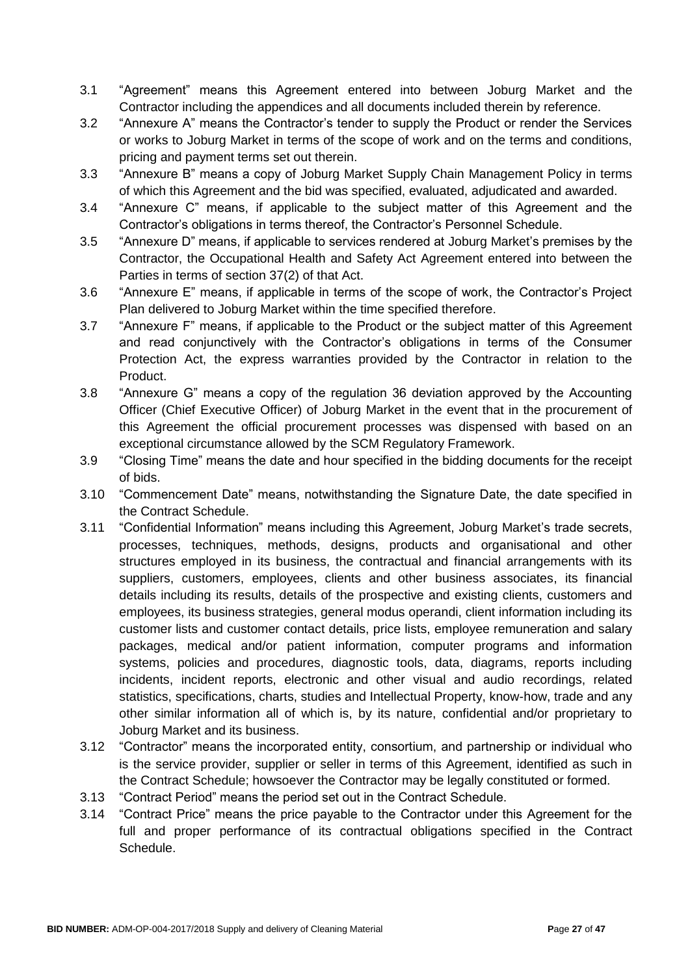- 3.1 "Agreement" means this Agreement entered into between Joburg Market and the Contractor including the appendices and all documents included therein by reference.
- 3.2 "Annexure A" means the Contractor's tender to supply the Product or render the Services or works to Joburg Market in terms of the scope of work and on the terms and conditions, pricing and payment terms set out therein.
- 3.3 "Annexure B" means a copy of Joburg Market Supply Chain Management Policy in terms of which this Agreement and the bid was specified, evaluated, adjudicated and awarded.
- 3.4 "Annexure C" means, if applicable to the subject matter of this Agreement and the Contractor's obligations in terms thereof, the Contractor's Personnel Schedule.
- 3.5 "Annexure D" means, if applicable to services rendered at Joburg Market's premises by the Contractor, the Occupational Health and Safety Act Agreement entered into between the Parties in terms of section 37(2) of that Act.
- 3.6 "Annexure E" means, if applicable in terms of the scope of work, the Contractor's Project Plan delivered to Joburg Market within the time specified therefore.
- 3.7 "Annexure F" means, if applicable to the Product or the subject matter of this Agreement and read conjunctively with the Contractor's obligations in terms of the Consumer Protection Act, the express warranties provided by the Contractor in relation to the Product.
- 3.8 "Annexure G" means a copy of the regulation 36 deviation approved by the Accounting Officer (Chief Executive Officer) of Joburg Market in the event that in the procurement of this Agreement the official procurement processes was dispensed with based on an exceptional circumstance allowed by the SCM Regulatory Framework.
- 3.9 "Closing Time" means the date and hour specified in the bidding documents for the receipt of bids.
- 3.10 "Commencement Date" means, notwithstanding the Signature Date, the date specified in the Contract Schedule.
- 3.11 "Confidential Information" means including this Agreement, Joburg Market's trade secrets, processes, techniques, methods, designs, products and organisational and other structures employed in its business, the contractual and financial arrangements with its suppliers, customers, employees, clients and other business associates, its financial details including its results, details of the prospective and existing clients, customers and employees, its business strategies, general modus operandi, client information including its customer lists and customer contact details, price lists, employee remuneration and salary packages, medical and/or patient information, computer programs and information systems, policies and procedures, diagnostic tools, data, diagrams, reports including incidents, incident reports, electronic and other visual and audio recordings, related statistics, specifications, charts, studies and Intellectual Property, know-how, trade and any other similar information all of which is, by its nature, confidential and/or proprietary to Joburg Market and its business.
- 3.12 "Contractor" means the incorporated entity, consortium, and partnership or individual who is the service provider, supplier or seller in terms of this Agreement, identified as such in the Contract Schedule; howsoever the Contractor may be legally constituted or formed.
- 3.13 "Contract Period" means the period set out in the Contract Schedule.
- 3.14 "Contract Price" means the price payable to the Contractor under this Agreement for the full and proper performance of its contractual obligations specified in the Contract Schedule.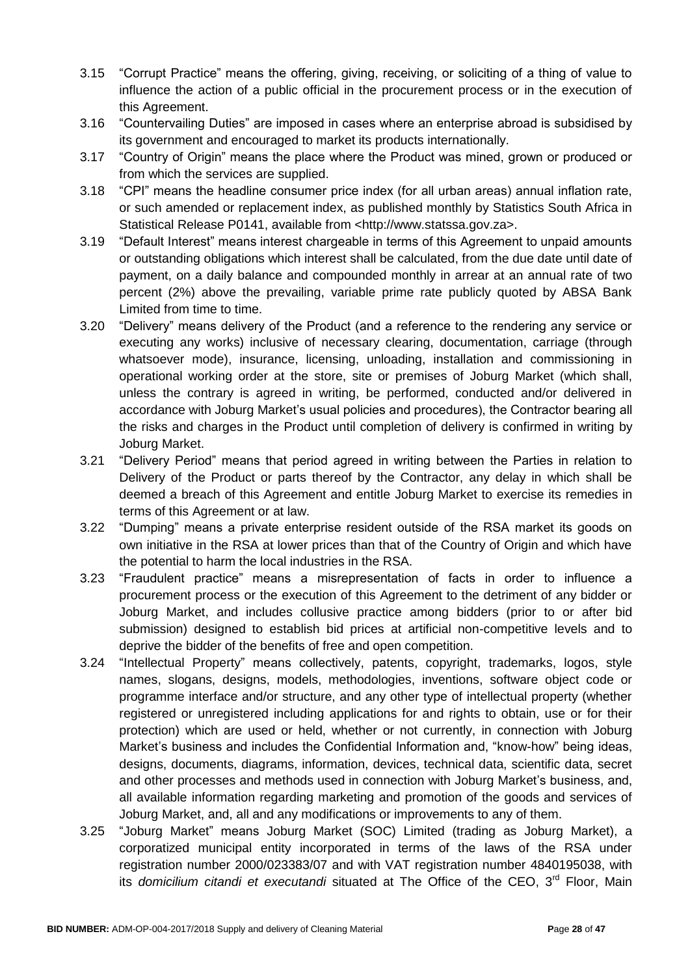- 3.15 "Corrupt Practice" means the offering, giving, receiving, or soliciting of a thing of value to influence the action of a public official in the procurement process or in the execution of this Agreement.
- 3.16 "Countervailing Duties" are imposed in cases where an enterprise abroad is subsidised by its government and encouraged to market its products internationally.
- 3.17 "Country of Origin" means the place where the Product was mined, grown or produced or from which the services are supplied.
- 3.18 "CPI" means the headline consumer price index (for all urban areas) annual inflation rate, or such amended or replacement index, as published monthly by Statistics South Africa in Statistical Release P0141, available from <http://www.statssa.gov.za>.
- 3.19 "Default Interest" means interest chargeable in terms of this Agreement to unpaid amounts or outstanding obligations which interest shall be calculated, from the due date until date of payment, on a daily balance and compounded monthly in arrear at an annual rate of two percent (2%) above the prevailing, variable prime rate publicly quoted by ABSA Bank Limited from time to time.
- 3.20 "Delivery" means delivery of the Product (and a reference to the rendering any service or executing any works) inclusive of necessary clearing, documentation, carriage (through whatsoever mode), insurance, licensing, unloading, installation and commissioning in operational working order at the store, site or premises of Joburg Market (which shall, unless the contrary is agreed in writing, be performed, conducted and/or delivered in accordance with Joburg Market's usual policies and procedures), the Contractor bearing all the risks and charges in the Product until completion of delivery is confirmed in writing by Joburg Market.
- 3.21 "Delivery Period" means that period agreed in writing between the Parties in relation to Delivery of the Product or parts thereof by the Contractor, any delay in which shall be deemed a breach of this Agreement and entitle Joburg Market to exercise its remedies in terms of this Agreement or at law.
- 3.22 "Dumping" means a private enterprise resident outside of the RSA market its goods on own initiative in the RSA at lower prices than that of the Country of Origin and which have the potential to harm the local industries in the RSA.
- 3.23 "Fraudulent practice" means a misrepresentation of facts in order to influence a procurement process or the execution of this Agreement to the detriment of any bidder or Joburg Market, and includes collusive practice among bidders (prior to or after bid submission) designed to establish bid prices at artificial non-competitive levels and to deprive the bidder of the benefits of free and open competition.
- 3.24 "Intellectual Property" means collectively, patents, copyright, trademarks, logos, style names, slogans, designs, models, methodologies, inventions, software object code or programme interface and/or structure, and any other type of intellectual property (whether registered or unregistered including applications for and rights to obtain, use or for their protection) which are used or held, whether or not currently, in connection with Joburg Market's business and includes the Confidential Information and, "know-how" being ideas, designs, documents, diagrams, information, devices, technical data, scientific data, secret and other processes and methods used in connection with Joburg Market's business, and, all available information regarding marketing and promotion of the goods and services of Joburg Market, and, all and any modifications or improvements to any of them.
- 3.25 "Joburg Market" means Joburg Market (SOC) Limited (trading as Joburg Market), a corporatized municipal entity incorporated in terms of the laws of the RSA under registration number 2000/023383/07 and with VAT registration number 4840195038, with its *domicilium citandi et executandi* situated at The Office of the CEO, 3<sup>rd</sup> Floor, Main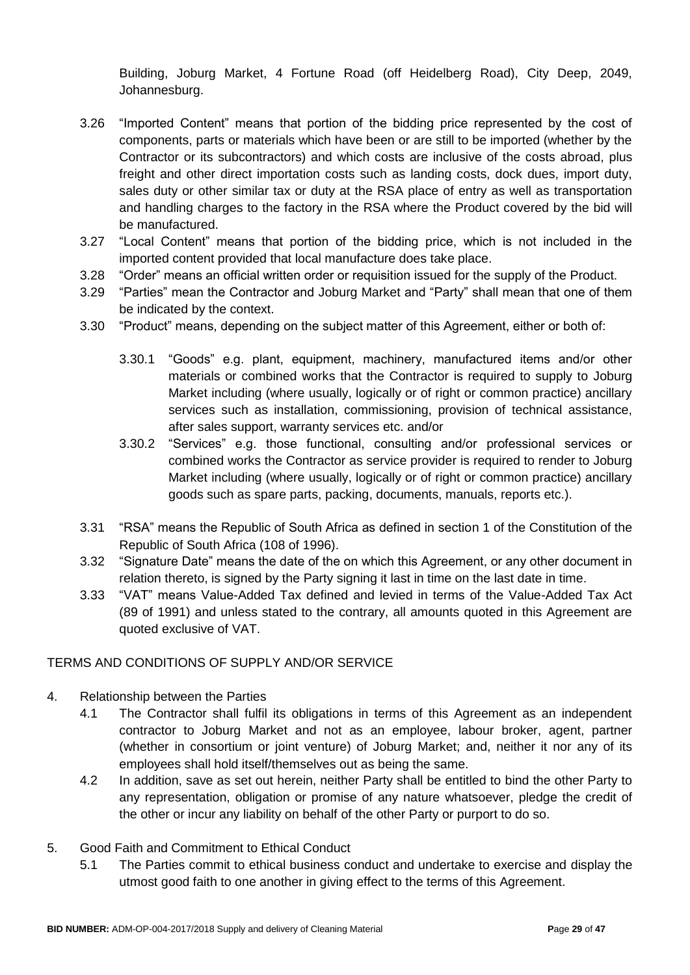Building, Joburg Market, 4 Fortune Road (off Heidelberg Road), City Deep, 2049, Johannesburg.

- 3.26 "Imported Content" means that portion of the bidding price represented by the cost of components, parts or materials which have been or are still to be imported (whether by the Contractor or its subcontractors) and which costs are inclusive of the costs abroad, plus freight and other direct importation costs such as landing costs, dock dues, import duty, sales duty or other similar tax or duty at the RSA place of entry as well as transportation and handling charges to the factory in the RSA where the Product covered by the bid will be manufactured.
- 3.27 "Local Content" means that portion of the bidding price, which is not included in the imported content provided that local manufacture does take place.
- 3.28 "Order" means an official written order or requisition issued for the supply of the Product.
- 3.29 "Parties" mean the Contractor and Joburg Market and "Party" shall mean that one of them be indicated by the context.
- 3.30 "Product" means, depending on the subject matter of this Agreement, either or both of:
	- 3.30.1 "Goods" e.g. plant, equipment, machinery, manufactured items and/or other materials or combined works that the Contractor is required to supply to Joburg Market including (where usually, logically or of right or common practice) ancillary services such as installation, commissioning, provision of technical assistance, after sales support, warranty services etc. and/or
	- 3.30.2 "Services" e.g. those functional, consulting and/or professional services or combined works the Contractor as service provider is required to render to Joburg Market including (where usually, logically or of right or common practice) ancillary goods such as spare parts, packing, documents, manuals, reports etc.).
- 3.31 "RSA" means the Republic of South Africa as defined in section 1 of the Constitution of the Republic of South Africa (108 of 1996).
- 3.32 "Signature Date" means the date of the on which this Agreement, or any other document in relation thereto, is signed by the Party signing it last in time on the last date in time.
- 3.33 "VAT" means Value-Added Tax defined and levied in terms of the Value-Added Tax Act (89 of 1991) and unless stated to the contrary, all amounts quoted in this Agreement are quoted exclusive of VAT.

### TERMS AND CONDITIONS OF SUPPLY AND/OR SERVICE

- 4. Relationship between the Parties
	- 4.1 The Contractor shall fulfil its obligations in terms of this Agreement as an independent contractor to Joburg Market and not as an employee, labour broker, agent, partner (whether in consortium or joint venture) of Joburg Market; and, neither it nor any of its employees shall hold itself/themselves out as being the same.
	- 4.2 In addition, save as set out herein, neither Party shall be entitled to bind the other Party to any representation, obligation or promise of any nature whatsoever, pledge the credit of the other or incur any liability on behalf of the other Party or purport to do so.
- 5. Good Faith and Commitment to Ethical Conduct
	- 5.1 The Parties commit to ethical business conduct and undertake to exercise and display the utmost good faith to one another in giving effect to the terms of this Agreement.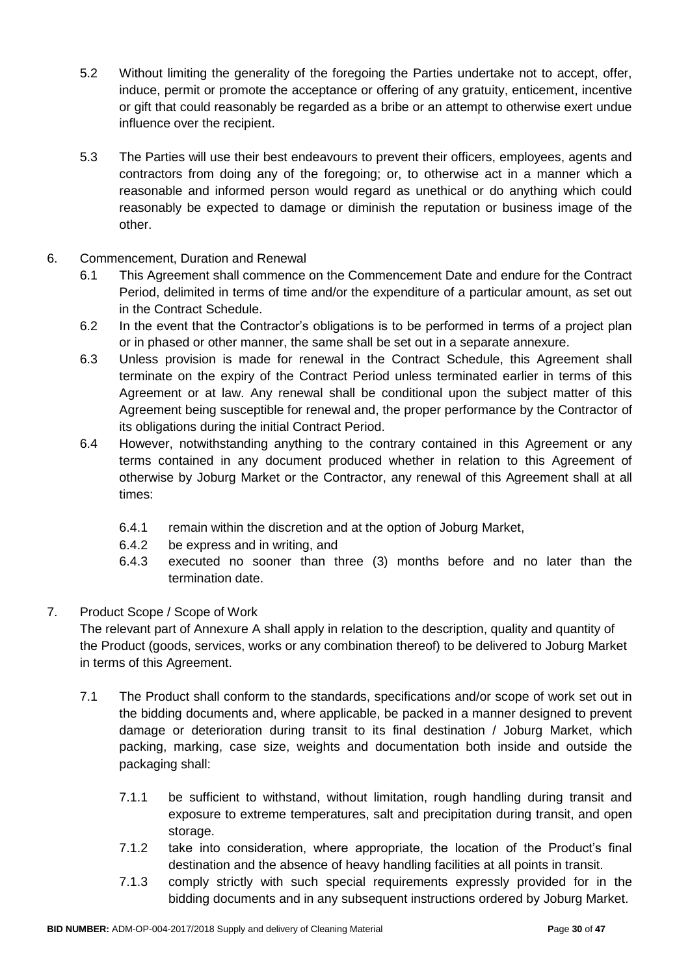- 5.2 Without limiting the generality of the foregoing the Parties undertake not to accept, offer, induce, permit or promote the acceptance or offering of any gratuity, enticement, incentive or gift that could reasonably be regarded as a bribe or an attempt to otherwise exert undue influence over the recipient.
- 5.3 The Parties will use their best endeavours to prevent their officers, employees, agents and contractors from doing any of the foregoing; or, to otherwise act in a manner which a reasonable and informed person would regard as unethical or do anything which could reasonably be expected to damage or diminish the reputation or business image of the other.
- 6. Commencement, Duration and Renewal
	- 6.1 This Agreement shall commence on the Commencement Date and endure for the Contract Period, delimited in terms of time and/or the expenditure of a particular amount, as set out in the Contract Schedule.
	- 6.2 In the event that the Contractor's obligations is to be performed in terms of a project plan or in phased or other manner, the same shall be set out in a separate annexure.
	- 6.3 Unless provision is made for renewal in the Contract Schedule, this Agreement shall terminate on the expiry of the Contract Period unless terminated earlier in terms of this Agreement or at law. Any renewal shall be conditional upon the subject matter of this Agreement being susceptible for renewal and, the proper performance by the Contractor of its obligations during the initial Contract Period.
	- 6.4 However, notwithstanding anything to the contrary contained in this Agreement or any terms contained in any document produced whether in relation to this Agreement of otherwise by Joburg Market or the Contractor, any renewal of this Agreement shall at all times:
		- 6.4.1 remain within the discretion and at the option of Joburg Market,
		- 6.4.2 be express and in writing, and
		- 6.4.3 executed no sooner than three (3) months before and no later than the termination date.

### 7. Product Scope / Scope of Work

The relevant part of Annexure A shall apply in relation to the description, quality and quantity of the Product (goods, services, works or any combination thereof) to be delivered to Joburg Market in terms of this Agreement.

- 7.1 The Product shall conform to the standards, specifications and/or scope of work set out in the bidding documents and, where applicable, be packed in a manner designed to prevent damage or deterioration during transit to its final destination / Joburg Market, which packing, marking, case size, weights and documentation both inside and outside the packaging shall:
	- 7.1.1 be sufficient to withstand, without limitation, rough handling during transit and exposure to extreme temperatures, salt and precipitation during transit, and open storage.
	- 7.1.2 take into consideration, where appropriate, the location of the Product's final destination and the absence of heavy handling facilities at all points in transit.
	- 7.1.3 comply strictly with such special requirements expressly provided for in the bidding documents and in any subsequent instructions ordered by Joburg Market.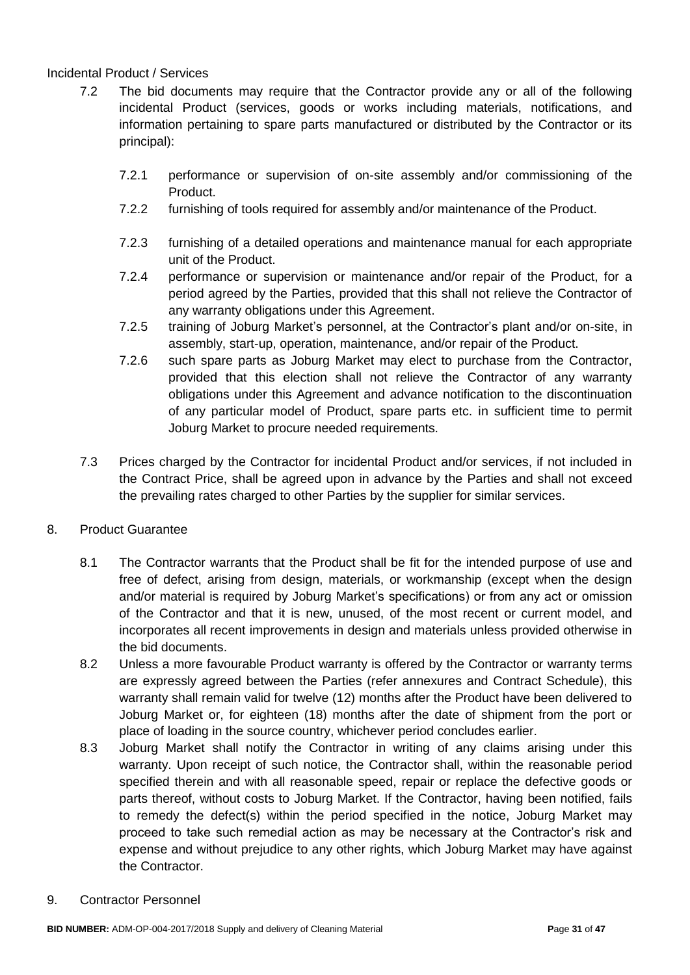### Incidental Product / Services

- 7.2 The bid documents may require that the Contractor provide any or all of the following incidental Product (services, goods or works including materials, notifications, and information pertaining to spare parts manufactured or distributed by the Contractor or its principal):
	- 7.2.1 performance or supervision of on-site assembly and/or commissioning of the Product.
	- 7.2.2 furnishing of tools required for assembly and/or maintenance of the Product.
	- 7.2.3 furnishing of a detailed operations and maintenance manual for each appropriate unit of the Product.
	- 7.2.4 performance or supervision or maintenance and/or repair of the Product, for a period agreed by the Parties, provided that this shall not relieve the Contractor of any warranty obligations under this Agreement.
	- 7.2.5 training of Joburg Market's personnel, at the Contractor's plant and/or on-site, in assembly, start-up, operation, maintenance, and/or repair of the Product.
	- 7.2.6 such spare parts as Joburg Market may elect to purchase from the Contractor, provided that this election shall not relieve the Contractor of any warranty obligations under this Agreement and advance notification to the discontinuation of any particular model of Product, spare parts etc. in sufficient time to permit Joburg Market to procure needed requirements.
- 7.3 Prices charged by the Contractor for incidental Product and/or services, if not included in the Contract Price, shall be agreed upon in advance by the Parties and shall not exceed the prevailing rates charged to other Parties by the supplier for similar services.

### 8. Product Guarantee

- 8.1 The Contractor warrants that the Product shall be fit for the intended purpose of use and free of defect, arising from design, materials, or workmanship (except when the design and/or material is required by Joburg Market's specifications) or from any act or omission of the Contractor and that it is new, unused, of the most recent or current model, and incorporates all recent improvements in design and materials unless provided otherwise in the bid documents.
- 8.2 Unless a more favourable Product warranty is offered by the Contractor or warranty terms are expressly agreed between the Parties (refer annexures and Contract Schedule), this warranty shall remain valid for twelve (12) months after the Product have been delivered to Joburg Market or, for eighteen (18) months after the date of shipment from the port or place of loading in the source country, whichever period concludes earlier.
- 8.3 Joburg Market shall notify the Contractor in writing of any claims arising under this warranty. Upon receipt of such notice, the Contractor shall, within the reasonable period specified therein and with all reasonable speed, repair or replace the defective goods or parts thereof, without costs to Joburg Market. If the Contractor, having been notified, fails to remedy the defect(s) within the period specified in the notice, Joburg Market may proceed to take such remedial action as may be necessary at the Contractor's risk and expense and without prejudice to any other rights, which Joburg Market may have against the Contractor.
- 9. Contractor Personnel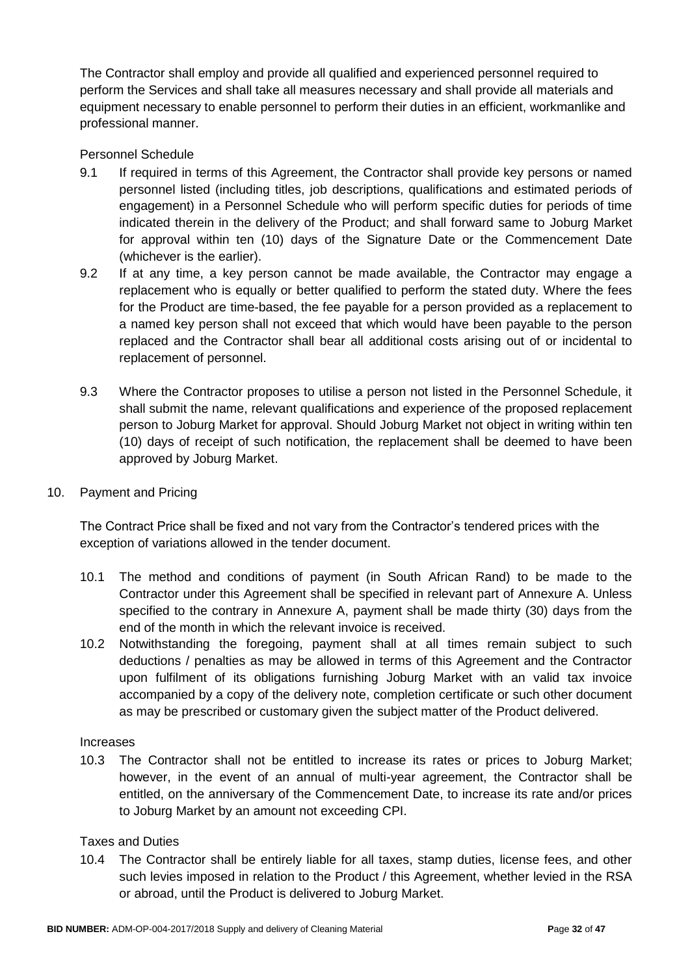The Contractor shall employ and provide all qualified and experienced personnel required to perform the Services and shall take all measures necessary and shall provide all materials and equipment necessary to enable personnel to perform their duties in an efficient, workmanlike and professional manner.

### Personnel Schedule

- 9.1 If required in terms of this Agreement, the Contractor shall provide key persons or named personnel listed (including titles, job descriptions, qualifications and estimated periods of engagement) in a Personnel Schedule who will perform specific duties for periods of time indicated therein in the delivery of the Product; and shall forward same to Joburg Market for approval within ten (10) days of the Signature Date or the Commencement Date (whichever is the earlier).
- 9.2 If at any time, a key person cannot be made available, the Contractor may engage a replacement who is equally or better qualified to perform the stated duty. Where the fees for the Product are time-based, the fee payable for a person provided as a replacement to a named key person shall not exceed that which would have been payable to the person replaced and the Contractor shall bear all additional costs arising out of or incidental to replacement of personnel.
- 9.3 Where the Contractor proposes to utilise a person not listed in the Personnel Schedule, it shall submit the name, relevant qualifications and experience of the proposed replacement person to Joburg Market for approval. Should Joburg Market not object in writing within ten (10) days of receipt of such notification, the replacement shall be deemed to have been approved by Joburg Market.
- 10. Payment and Pricing

The Contract Price shall be fixed and not vary from the Contractor's tendered prices with the exception of variations allowed in the tender document.

- 10.1 The method and conditions of payment (in South African Rand) to be made to the Contractor under this Agreement shall be specified in relevant part of Annexure A. Unless specified to the contrary in Annexure A, payment shall be made thirty (30) days from the end of the month in which the relevant invoice is received.
- 10.2 Notwithstanding the foregoing, payment shall at all times remain subject to such deductions / penalties as may be allowed in terms of this Agreement and the Contractor upon fulfilment of its obligations furnishing Joburg Market with an valid tax invoice accompanied by a copy of the delivery note, completion certificate or such other document as may be prescribed or customary given the subject matter of the Product delivered.

#### Increases

10.3 The Contractor shall not be entitled to increase its rates or prices to Joburg Market; however, in the event of an annual of multi-year agreement, the Contractor shall be entitled, on the anniversary of the Commencement Date, to increase its rate and/or prices to Joburg Market by an amount not exceeding CPI.

#### Taxes and Duties

10.4 The Contractor shall be entirely liable for all taxes, stamp duties, license fees, and other such levies imposed in relation to the Product / this Agreement, whether levied in the RSA or abroad, until the Product is delivered to Joburg Market.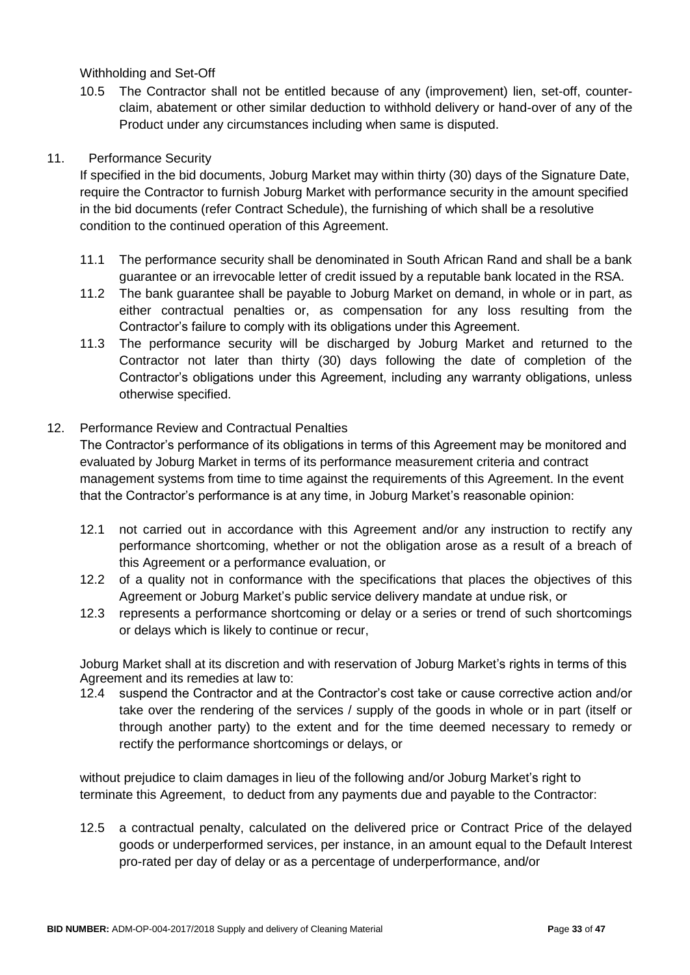Withholding and Set-Off

10.5 The Contractor shall not be entitled because of any (improvement) lien, set-off, counterclaim, abatement or other similar deduction to withhold delivery or hand-over of any of the Product under any circumstances including when same is disputed.

### 11. Performance Security

If specified in the bid documents, Joburg Market may within thirty (30) days of the Signature Date, require the Contractor to furnish Joburg Market with performance security in the amount specified in the bid documents (refer Contract Schedule), the furnishing of which shall be a resolutive condition to the continued operation of this Agreement.

- 11.1 The performance security shall be denominated in South African Rand and shall be a bank guarantee or an irrevocable letter of credit issued by a reputable bank located in the RSA.
- 11.2 The bank guarantee shall be payable to Joburg Market on demand, in whole or in part, as either contractual penalties or, as compensation for any loss resulting from the Contractor's failure to comply with its obligations under this Agreement.
- 11.3 The performance security will be discharged by Joburg Market and returned to the Contractor not later than thirty (30) days following the date of completion of the Contractor's obligations under this Agreement, including any warranty obligations, unless otherwise specified.

### 12. Performance Review and Contractual Penalties

The Contractor's performance of its obligations in terms of this Agreement may be monitored and evaluated by Joburg Market in terms of its performance measurement criteria and contract management systems from time to time against the requirements of this Agreement. In the event that the Contractor's performance is at any time, in Joburg Market's reasonable opinion:

- 12.1 not carried out in accordance with this Agreement and/or any instruction to rectify any performance shortcoming, whether or not the obligation arose as a result of a breach of this Agreement or a performance evaluation, or
- 12.2 of a quality not in conformance with the specifications that places the objectives of this Agreement or Joburg Market's public service delivery mandate at undue risk, or
- 12.3 represents a performance shortcoming or delay or a series or trend of such shortcomings or delays which is likely to continue or recur,

Joburg Market shall at its discretion and with reservation of Joburg Market's rights in terms of this Agreement and its remedies at law to:

12.4 suspend the Contractor and at the Contractor's cost take or cause corrective action and/or take over the rendering of the services / supply of the goods in whole or in part (itself or through another party) to the extent and for the time deemed necessary to remedy or rectify the performance shortcomings or delays, or

without prejudice to claim damages in lieu of the following and/or Joburg Market's right to terminate this Agreement, to deduct from any payments due and payable to the Contractor:

12.5 a contractual penalty, calculated on the delivered price or Contract Price of the delayed goods or underperformed services, per instance, in an amount equal to the Default Interest pro-rated per day of delay or as a percentage of underperformance, and/or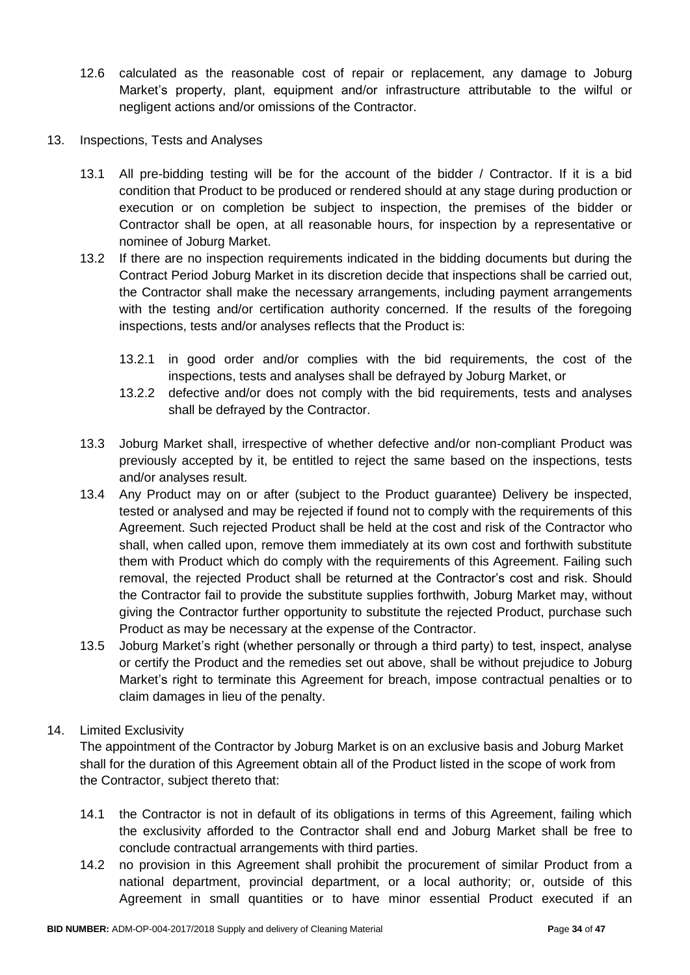- 12.6 calculated as the reasonable cost of repair or replacement, any damage to Joburg Market's property, plant, equipment and/or infrastructure attributable to the wilful or negligent actions and/or omissions of the Contractor.
- 13. Inspections, Tests and Analyses
	- 13.1 All pre-bidding testing will be for the account of the bidder / Contractor. If it is a bid condition that Product to be produced or rendered should at any stage during production or execution or on completion be subject to inspection, the premises of the bidder or Contractor shall be open, at all reasonable hours, for inspection by a representative or nominee of Joburg Market.
	- 13.2 If there are no inspection requirements indicated in the bidding documents but during the Contract Period Joburg Market in its discretion decide that inspections shall be carried out, the Contractor shall make the necessary arrangements, including payment arrangements with the testing and/or certification authority concerned. If the results of the foregoing inspections, tests and/or analyses reflects that the Product is:
		- 13.2.1 in good order and/or complies with the bid requirements, the cost of the inspections, tests and analyses shall be defrayed by Joburg Market, or
		- 13.2.2 defective and/or does not comply with the bid requirements, tests and analyses shall be defrayed by the Contractor.
	- 13.3 Joburg Market shall, irrespective of whether defective and/or non-compliant Product was previously accepted by it, be entitled to reject the same based on the inspections, tests and/or analyses result.
	- 13.4 Any Product may on or after (subject to the Product guarantee) Delivery be inspected, tested or analysed and may be rejected if found not to comply with the requirements of this Agreement. Such rejected Product shall be held at the cost and risk of the Contractor who shall, when called upon, remove them immediately at its own cost and forthwith substitute them with Product which do comply with the requirements of this Agreement. Failing such removal, the rejected Product shall be returned at the Contractor's cost and risk. Should the Contractor fail to provide the substitute supplies forthwith, Joburg Market may, without giving the Contractor further opportunity to substitute the rejected Product, purchase such Product as may be necessary at the expense of the Contractor.
	- 13.5 Joburg Market's right (whether personally or through a third party) to test, inspect, analyse or certify the Product and the remedies set out above, shall be without prejudice to Joburg Market's right to terminate this Agreement for breach, impose contractual penalties or to claim damages in lieu of the penalty.

### 14. Limited Exclusivity

The appointment of the Contractor by Joburg Market is on an exclusive basis and Joburg Market shall for the duration of this Agreement obtain all of the Product listed in the scope of work from the Contractor, subject thereto that:

- 14.1 the Contractor is not in default of its obligations in terms of this Agreement, failing which the exclusivity afforded to the Contractor shall end and Joburg Market shall be free to conclude contractual arrangements with third parties.
- 14.2 no provision in this Agreement shall prohibit the procurement of similar Product from a national department, provincial department, or a local authority; or, outside of this Agreement in small quantities or to have minor essential Product executed if an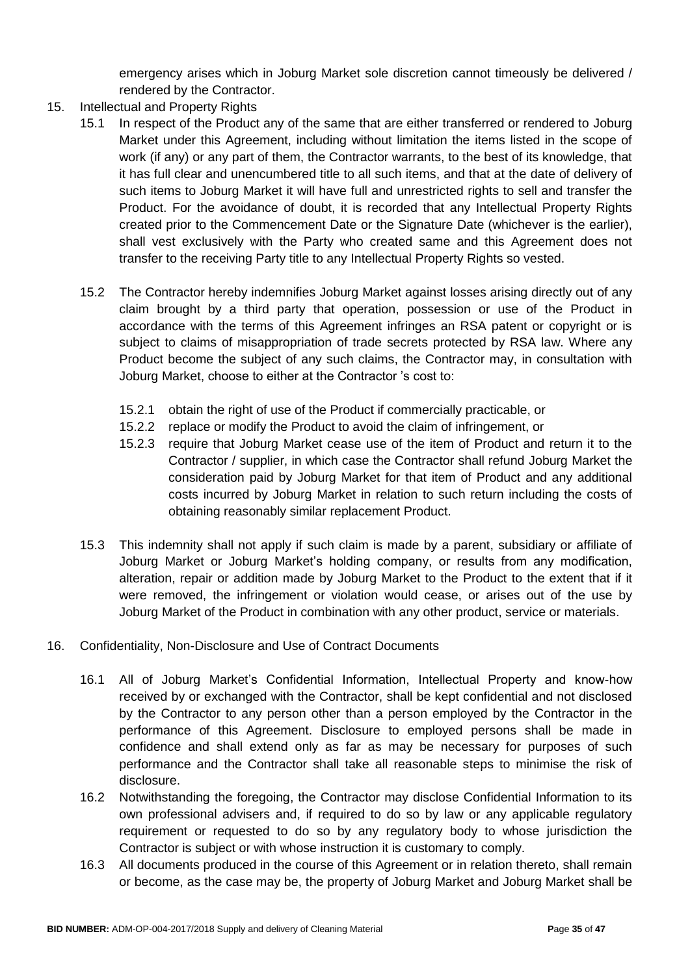emergency arises which in Joburg Market sole discretion cannot timeously be delivered / rendered by the Contractor.

- 15. Intellectual and Property Rights
	- 15.1 In respect of the Product any of the same that are either transferred or rendered to Joburg Market under this Agreement, including without limitation the items listed in the scope of work (if any) or any part of them, the Contractor warrants, to the best of its knowledge, that it has full clear and unencumbered title to all such items, and that at the date of delivery of such items to Joburg Market it will have full and unrestricted rights to sell and transfer the Product. For the avoidance of doubt, it is recorded that any Intellectual Property Rights created prior to the Commencement Date or the Signature Date (whichever is the earlier), shall vest exclusively with the Party who created same and this Agreement does not transfer to the receiving Party title to any Intellectual Property Rights so vested.
	- 15.2 The Contractor hereby indemnifies Joburg Market against losses arising directly out of any claim brought by a third party that operation, possession or use of the Product in accordance with the terms of this Agreement infringes an RSA patent or copyright or is subject to claims of misappropriation of trade secrets protected by RSA law. Where any Product become the subject of any such claims, the Contractor may, in consultation with Joburg Market, choose to either at the Contractor 's cost to:
		- 15.2.1 obtain the right of use of the Product if commercially practicable, or
		- 15.2.2 replace or modify the Product to avoid the claim of infringement, or
		- 15.2.3 require that Joburg Market cease use of the item of Product and return it to the Contractor / supplier, in which case the Contractor shall refund Joburg Market the consideration paid by Joburg Market for that item of Product and any additional costs incurred by Joburg Market in relation to such return including the costs of obtaining reasonably similar replacement Product.
	- 15.3 This indemnity shall not apply if such claim is made by a parent, subsidiary or affiliate of Joburg Market or Joburg Market's holding company, or results from any modification, alteration, repair or addition made by Joburg Market to the Product to the extent that if it were removed, the infringement or violation would cease, or arises out of the use by Joburg Market of the Product in combination with any other product, service or materials.
- 16. Confidentiality, Non-Disclosure and Use of Contract Documents
	- 16.1 All of Joburg Market's Confidential Information, Intellectual Property and know-how received by or exchanged with the Contractor, shall be kept confidential and not disclosed by the Contractor to any person other than a person employed by the Contractor in the performance of this Agreement. Disclosure to employed persons shall be made in confidence and shall extend only as far as may be necessary for purposes of such performance and the Contractor shall take all reasonable steps to minimise the risk of disclosure.
	- 16.2 Notwithstanding the foregoing, the Contractor may disclose Confidential Information to its own professional advisers and, if required to do so by law or any applicable regulatory requirement or requested to do so by any regulatory body to whose jurisdiction the Contractor is subject or with whose instruction it is customary to comply.
	- 16.3 All documents produced in the course of this Agreement or in relation thereto, shall remain or become, as the case may be, the property of Joburg Market and Joburg Market shall be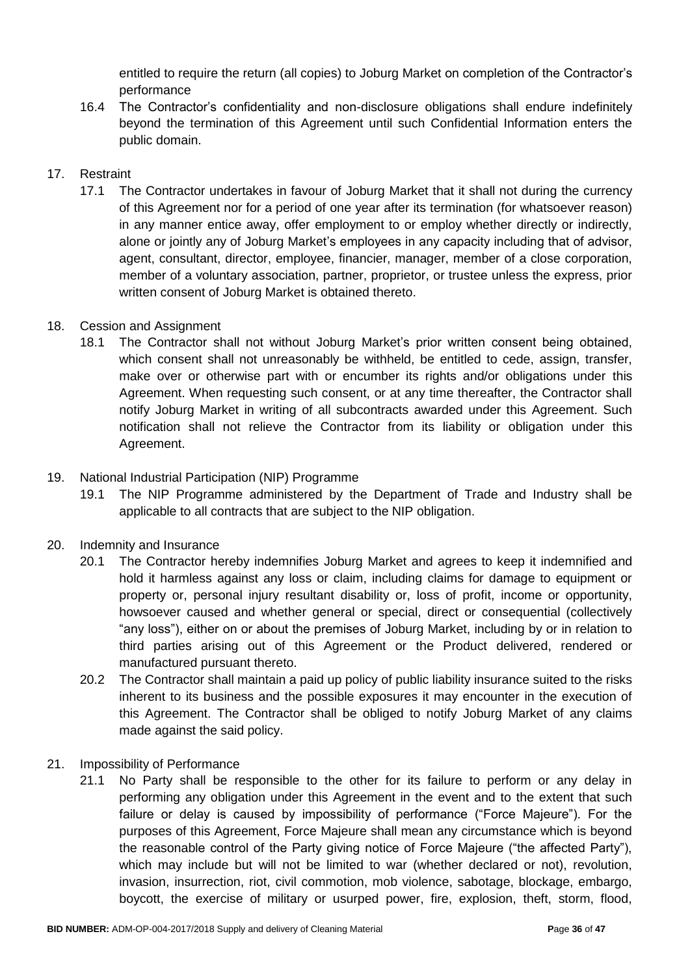entitled to require the return (all copies) to Joburg Market on completion of the Contractor's performance

16.4 The Contractor's confidentiality and non-disclosure obligations shall endure indefinitely beyond the termination of this Agreement until such Confidential Information enters the public domain.

### 17. Restraint

17.1 The Contractor undertakes in favour of Joburg Market that it shall not during the currency of this Agreement nor for a period of one year after its termination (for whatsoever reason) in any manner entice away, offer employment to or employ whether directly or indirectly, alone or jointly any of Joburg Market's employees in any capacity including that of advisor, agent, consultant, director, employee, financier, manager, member of a close corporation, member of a voluntary association, partner, proprietor, or trustee unless the express, prior written consent of Joburg Market is obtained thereto.

### 18. Cession and Assignment

18.1 The Contractor shall not without Joburg Market's prior written consent being obtained, which consent shall not unreasonably be withheld, be entitled to cede, assign, transfer, make over or otherwise part with or encumber its rights and/or obligations under this Agreement. When requesting such consent, or at any time thereafter, the Contractor shall notify Joburg Market in writing of all subcontracts awarded under this Agreement. Such notification shall not relieve the Contractor from its liability or obligation under this Agreement.

### 19. National Industrial Participation (NIP) Programme

19.1 The NIP Programme administered by the Department of Trade and Industry shall be applicable to all contracts that are subject to the NIP obligation.

### 20. Indemnity and Insurance

- 20.1 The Contractor hereby indemnifies Joburg Market and agrees to keep it indemnified and hold it harmless against any loss or claim, including claims for damage to equipment or property or, personal injury resultant disability or, loss of profit, income or opportunity, howsoever caused and whether general or special, direct or consequential (collectively "any loss"), either on or about the premises of Joburg Market, including by or in relation to third parties arising out of this Agreement or the Product delivered, rendered or manufactured pursuant thereto.
- 20.2 The Contractor shall maintain a paid up policy of public liability insurance suited to the risks inherent to its business and the possible exposures it may encounter in the execution of this Agreement. The Contractor shall be obliged to notify Joburg Market of any claims made against the said policy.
- 21. Impossibility of Performance
	- 21.1 No Party shall be responsible to the other for its failure to perform or any delay in performing any obligation under this Agreement in the event and to the extent that such failure or delay is caused by impossibility of performance ("Force Majeure"). For the purposes of this Agreement, Force Majeure shall mean any circumstance which is beyond the reasonable control of the Party giving notice of Force Majeure ("the affected Party"), which may include but will not be limited to war (whether declared or not), revolution, invasion, insurrection, riot, civil commotion, mob violence, sabotage, blockage, embargo, boycott, the exercise of military or usurped power, fire, explosion, theft, storm, flood,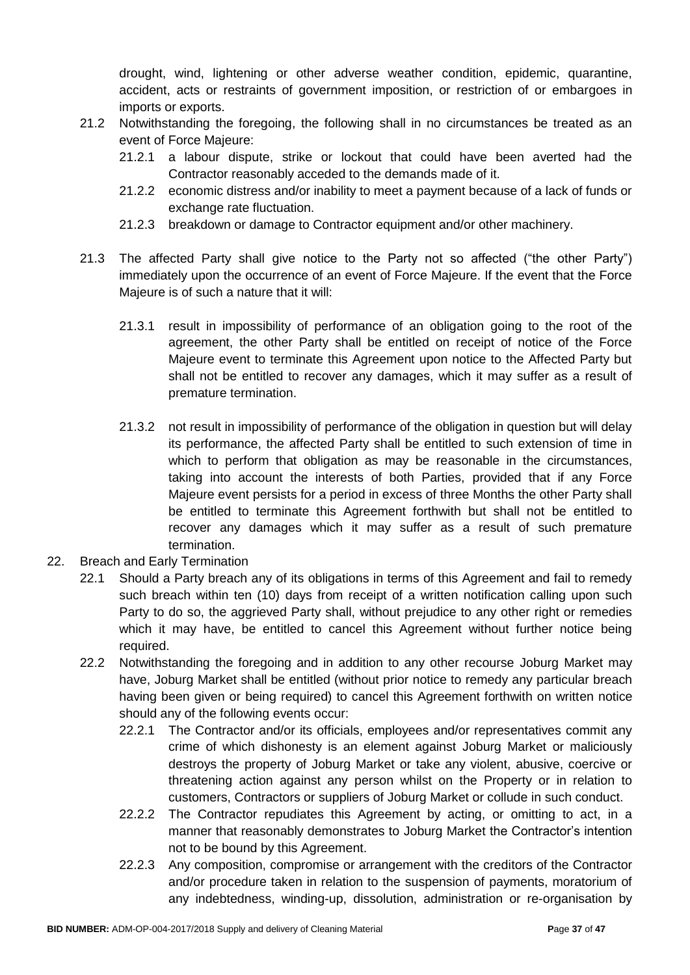drought, wind, lightening or other adverse weather condition, epidemic, quarantine, accident, acts or restraints of government imposition, or restriction of or embargoes in imports or exports.

- 21.2 Notwithstanding the foregoing, the following shall in no circumstances be treated as an event of Force Majeure:
	- 21.2.1 a labour dispute, strike or lockout that could have been averted had the Contractor reasonably acceded to the demands made of it.
	- 21.2.2 economic distress and/or inability to meet a payment because of a lack of funds or exchange rate fluctuation.
	- 21.2.3 breakdown or damage to Contractor equipment and/or other machinery.
- 21.3 The affected Party shall give notice to the Party not so affected ("the other Party") immediately upon the occurrence of an event of Force Majeure. If the event that the Force Majeure is of such a nature that it will:
	- 21.3.1 result in impossibility of performance of an obligation going to the root of the agreement, the other Party shall be entitled on receipt of notice of the Force Majeure event to terminate this Agreement upon notice to the Affected Party but shall not be entitled to recover any damages, which it may suffer as a result of premature termination.
	- 21.3.2 not result in impossibility of performance of the obligation in question but will delay its performance, the affected Party shall be entitled to such extension of time in which to perform that obligation as may be reasonable in the circumstances, taking into account the interests of both Parties, provided that if any Force Majeure event persists for a period in excess of three Months the other Party shall be entitled to terminate this Agreement forthwith but shall not be entitled to recover any damages which it may suffer as a result of such premature termination.
- 22. Breach and Early Termination
	- 22.1 Should a Party breach any of its obligations in terms of this Agreement and fail to remedy such breach within ten (10) days from receipt of a written notification calling upon such Party to do so, the aggrieved Party shall, without prejudice to any other right or remedies which it may have, be entitled to cancel this Agreement without further notice being required.
	- 22.2 Notwithstanding the foregoing and in addition to any other recourse Joburg Market may have, Joburg Market shall be entitled (without prior notice to remedy any particular breach having been given or being required) to cancel this Agreement forthwith on written notice should any of the following events occur:
		- 22.2.1 The Contractor and/or its officials, employees and/or representatives commit any crime of which dishonesty is an element against Joburg Market or maliciously destroys the property of Joburg Market or take any violent, abusive, coercive or threatening action against any person whilst on the Property or in relation to customers, Contractors or suppliers of Joburg Market or collude in such conduct.
		- 22.2.2 The Contractor repudiates this Agreement by acting, or omitting to act, in a manner that reasonably demonstrates to Joburg Market the Contractor's intention not to be bound by this Agreement.
		- 22.2.3 Any composition, compromise or arrangement with the creditors of the Contractor and/or procedure taken in relation to the suspension of payments, moratorium of any indebtedness, winding-up, dissolution, administration or re-organisation by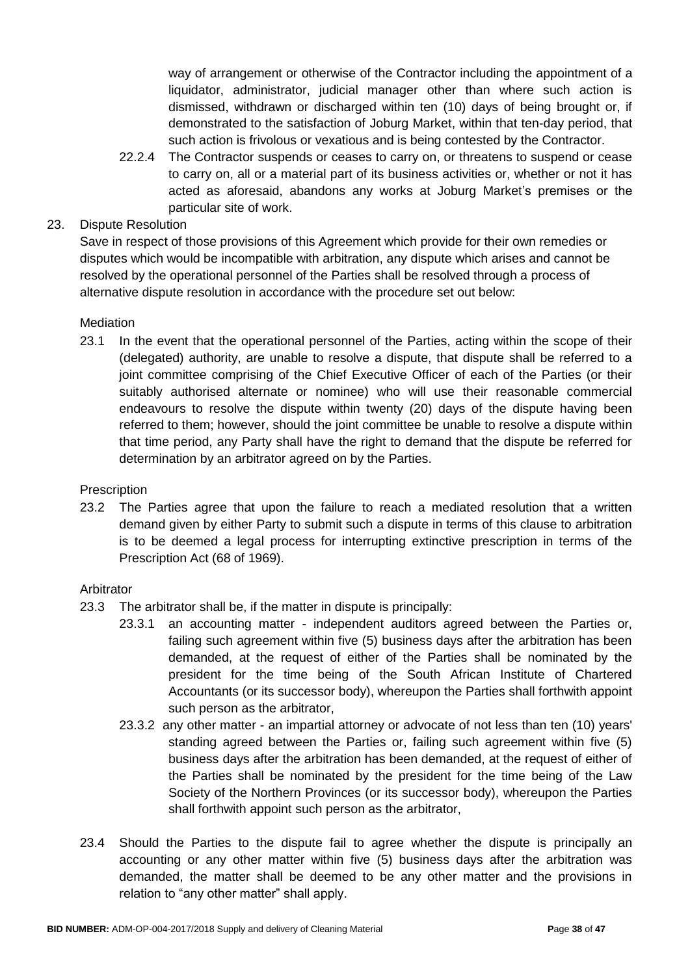way of arrangement or otherwise of the Contractor including the appointment of a liquidator, administrator, judicial manager other than where such action is dismissed, withdrawn or discharged within ten (10) days of being brought or, if demonstrated to the satisfaction of Joburg Market, within that ten-day period, that such action is frivolous or vexatious and is being contested by the Contractor.

22.2.4 The Contractor suspends or ceases to carry on, or threatens to suspend or cease to carry on, all or a material part of its business activities or, whether or not it has acted as aforesaid, abandons any works at Joburg Market's premises or the particular site of work.

### 23. Dispute Resolution

Save in respect of those provisions of this Agreement which provide for their own remedies or disputes which would be incompatible with arbitration, any dispute which arises and cannot be resolved by the operational personnel of the Parties shall be resolved through a process of alternative dispute resolution in accordance with the procedure set out below:

### **Mediation**

23.1 In the event that the operational personnel of the Parties, acting within the scope of their (delegated) authority, are unable to resolve a dispute, that dispute shall be referred to a joint committee comprising of the Chief Executive Officer of each of the Parties (or their suitably authorised alternate or nominee) who will use their reasonable commercial endeavours to resolve the dispute within twenty (20) days of the dispute having been referred to them; however, should the joint committee be unable to resolve a dispute within that time period, any Party shall have the right to demand that the dispute be referred for determination by an arbitrator agreed on by the Parties.

### **Prescription**

23.2 The Parties agree that upon the failure to reach a mediated resolution that a written demand given by either Party to submit such a dispute in terms of this clause to arbitration is to be deemed a legal process for interrupting extinctive prescription in terms of the Prescription Act (68 of 1969).

### Arbitrator

- 23.3 The arbitrator shall be, if the matter in dispute is principally:
	- 23.3.1 an accounting matter independent auditors agreed between the Parties or, failing such agreement within five (5) business days after the arbitration has been demanded, at the request of either of the Parties shall be nominated by the president for the time being of the South African Institute of Chartered Accountants (or its successor body), whereupon the Parties shall forthwith appoint such person as the arbitrator,
	- 23.3.2 any other matter an impartial attorney or advocate of not less than ten (10) years' standing agreed between the Parties or, failing such agreement within five (5) business days after the arbitration has been demanded, at the request of either of the Parties shall be nominated by the president for the time being of the Law Society of the Northern Provinces (or its successor body), whereupon the Parties shall forthwith appoint such person as the arbitrator,
- 23.4 Should the Parties to the dispute fail to agree whether the dispute is principally an accounting or any other matter within five (5) business days after the arbitration was demanded, the matter shall be deemed to be any other matter and the provisions in relation to "any other matter" shall apply.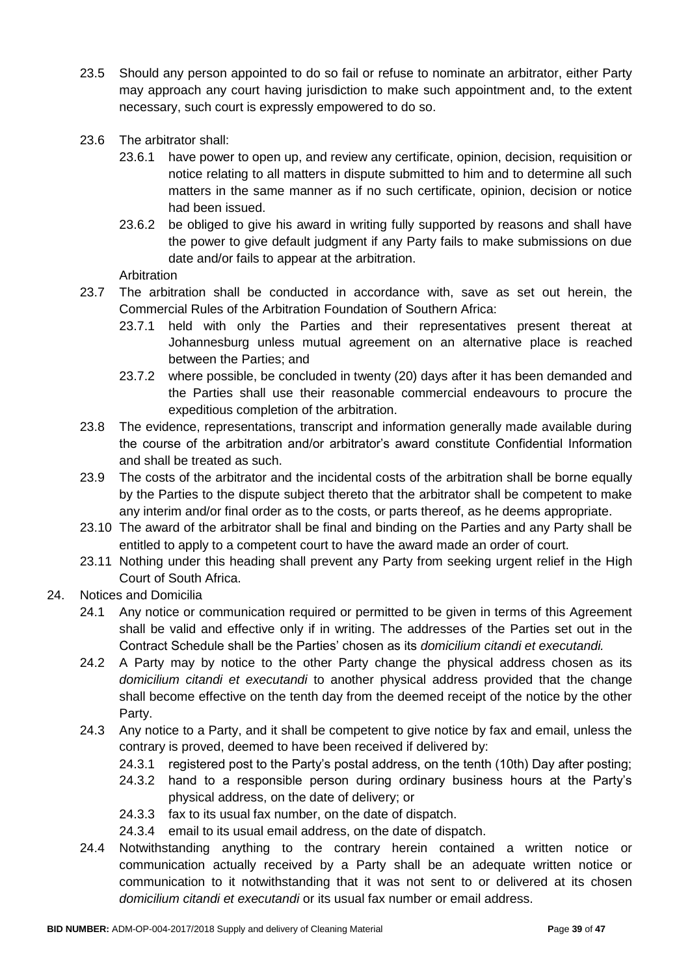- 23.5 Should any person appointed to do so fail or refuse to nominate an arbitrator, either Party may approach any court having jurisdiction to make such appointment and, to the extent necessary, such court is expressly empowered to do so.
- 23.6 The arbitrator shall:
	- 23.6.1 have power to open up, and review any certificate, opinion, decision, requisition or notice relating to all matters in dispute submitted to him and to determine all such matters in the same manner as if no such certificate, opinion, decision or notice had been issued.
	- 23.6.2 be obliged to give his award in writing fully supported by reasons and shall have the power to give default judgment if any Party fails to make submissions on due date and/or fails to appear at the arbitration.

Arbitration

- 23.7 The arbitration shall be conducted in accordance with, save as set out herein, the Commercial Rules of the Arbitration Foundation of Southern Africa:
	- 23.7.1 held with only the Parties and their representatives present thereat at Johannesburg unless mutual agreement on an alternative place is reached between the Parties; and
	- 23.7.2 where possible, be concluded in twenty (20) days after it has been demanded and the Parties shall use their reasonable commercial endeavours to procure the expeditious completion of the arbitration.
- 23.8 The evidence, representations, transcript and information generally made available during the course of the arbitration and/or arbitrator's award constitute Confidential Information and shall be treated as such.
- 23.9 The costs of the arbitrator and the incidental costs of the arbitration shall be borne equally by the Parties to the dispute subject thereto that the arbitrator shall be competent to make any interim and/or final order as to the costs, or parts thereof, as he deems appropriate.
- 23.10 The award of the arbitrator shall be final and binding on the Parties and any Party shall be entitled to apply to a competent court to have the award made an order of court.
- 23.11 Nothing under this heading shall prevent any Party from seeking urgent relief in the High Court of South Africa.
- 24. Notices and Domicilia
	- 24.1 Any notice or communication required or permitted to be given in terms of this Agreement shall be valid and effective only if in writing. The addresses of the Parties set out in the Contract Schedule shall be the Parties' chosen as its *domicilium citandi et executandi.*
	- 24.2 A Party may by notice to the other Party change the physical address chosen as its *domicilium citandi et executandi* to another physical address provided that the change shall become effective on the tenth day from the deemed receipt of the notice by the other Party.
	- 24.3 Any notice to a Party, and it shall be competent to give notice by fax and email, unless the contrary is proved, deemed to have been received if delivered by:
		- 24.3.1 registered post to the Party's postal address, on the tenth (10th) Day after posting;
		- 24.3.2 hand to a responsible person during ordinary business hours at the Party's physical address, on the date of delivery; or
		- 24.3.3 fax to its usual fax number, on the date of dispatch.
		- 24.3.4 email to its usual email address, on the date of dispatch.
	- 24.4 Notwithstanding anything to the contrary herein contained a written notice or communication actually received by a Party shall be an adequate written notice or communication to it notwithstanding that it was not sent to or delivered at its chosen *domicilium citandi et executandi* or its usual fax number or email address.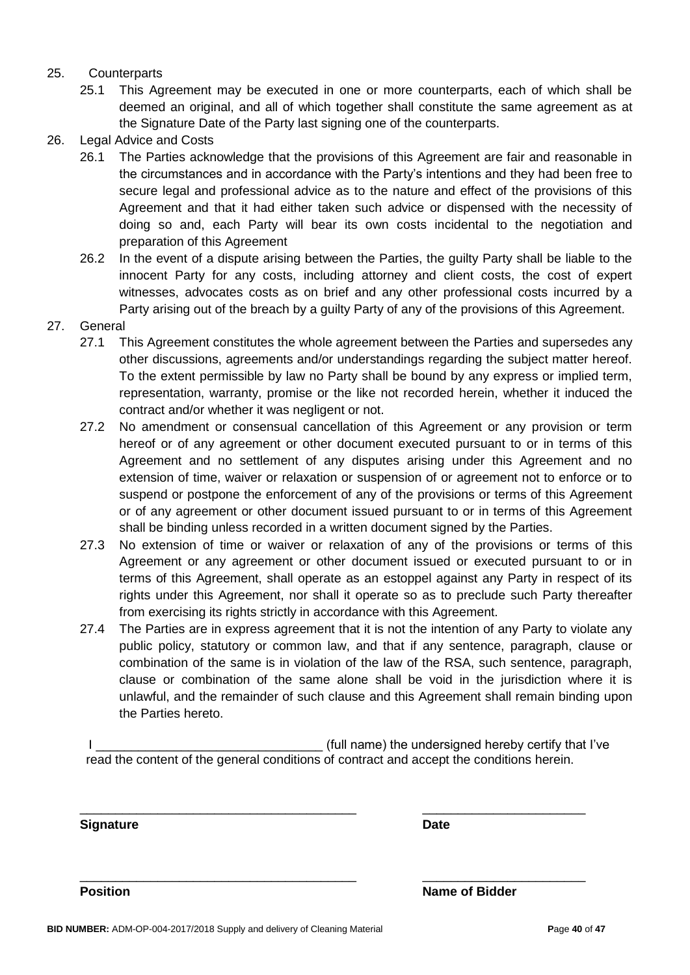#### 25. Counterparts

- 25.1 This Agreement may be executed in one or more counterparts, each of which shall be deemed an original, and all of which together shall constitute the same agreement as at the Signature Date of the Party last signing one of the counterparts.
- 26. Legal Advice and Costs
	- 26.1 The Parties acknowledge that the provisions of this Agreement are fair and reasonable in the circumstances and in accordance with the Party's intentions and they had been free to secure legal and professional advice as to the nature and effect of the provisions of this Agreement and that it had either taken such advice or dispensed with the necessity of doing so and, each Party will bear its own costs incidental to the negotiation and preparation of this Agreement
	- 26.2 In the event of a dispute arising between the Parties, the guilty Party shall be liable to the innocent Party for any costs, including attorney and client costs, the cost of expert witnesses, advocates costs as on brief and any other professional costs incurred by a Party arising out of the breach by a guilty Party of any of the provisions of this Agreement.
- 27. General
	- 27.1 This Agreement constitutes the whole agreement between the Parties and supersedes any other discussions, agreements and/or understandings regarding the subject matter hereof. To the extent permissible by law no Party shall be bound by any express or implied term, representation, warranty, promise or the like not recorded herein, whether it induced the contract and/or whether it was negligent or not.
	- 27.2 No amendment or consensual cancellation of this Agreement or any provision or term hereof or of any agreement or other document executed pursuant to or in terms of this Agreement and no settlement of any disputes arising under this Agreement and no extension of time, waiver or relaxation or suspension of or agreement not to enforce or to suspend or postpone the enforcement of any of the provisions or terms of this Agreement or of any agreement or other document issued pursuant to or in terms of this Agreement shall be binding unless recorded in a written document signed by the Parties.
	- 27.3 No extension of time or waiver or relaxation of any of the provisions or terms of this Agreement or any agreement or other document issued or executed pursuant to or in terms of this Agreement, shall operate as an estoppel against any Party in respect of its rights under this Agreement, nor shall it operate so as to preclude such Party thereafter from exercising its rights strictly in accordance with this Agreement.
	- 27.4 The Parties are in express agreement that it is not the intention of any Party to violate any public policy, statutory or common law, and that if any sentence, paragraph, clause or combination of the same is in violation of the law of the RSA, such sentence, paragraph, clause or combination of the same alone shall be void in the jurisdiction where it is unlawful, and the remainder of such clause and this Agreement shall remain binding upon the Parties hereto.

I Letterman the state of the undersigned hereby certify that I've is a state of the undersigned hereby certify that I've read the content of the general conditions of contract and accept the conditions herein.

\_\_\_\_\_\_\_\_\_\_\_\_\_\_\_\_\_\_\_\_\_\_\_\_\_\_\_\_\_\_\_\_\_\_\_\_\_\_\_ \_\_\_\_\_\_\_\_\_\_\_\_\_\_\_\_\_\_\_\_\_\_\_

\_\_\_\_\_\_\_\_\_\_\_\_\_\_\_\_\_\_\_\_\_\_\_\_\_\_\_\_\_\_\_\_\_\_\_\_\_\_\_ \_\_\_\_\_\_\_\_\_\_\_\_\_\_\_\_\_\_\_\_\_\_\_

**Signature Date**

**Position Name of Bidder**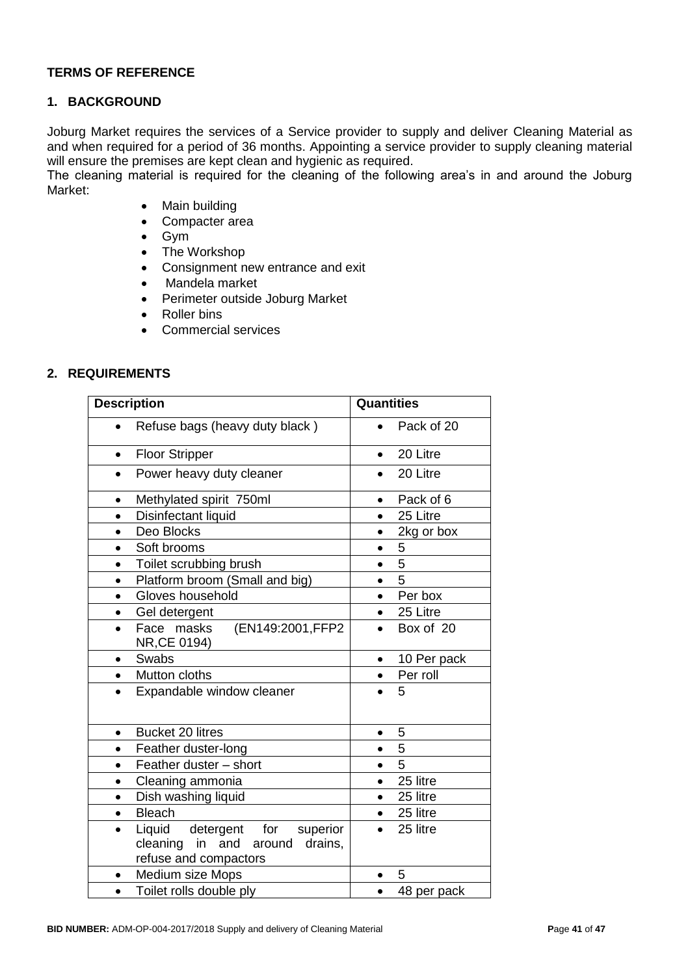#### **TERMS OF REFERENCE**

#### **1. BACKGROUND**

Joburg Market requires the services of a Service provider to supply and deliver Cleaning Material as and when required for a period of 36 months. Appointing a service provider to supply cleaning material will ensure the premises are kept clean and hygienic as required.

The cleaning material is required for the cleaning of the following area's in and around the Joburg Market:

- Main building
- Compacter area
- Gym
- The Workshop
- Consignment new entrance and exit
- Mandela market
- Perimeter outside Joburg Market
- Roller bins
- Commercial services

#### **2. REQUIREMENTS**

| <b>Description</b>                                                                                          | <b>Quantities</b> |
|-------------------------------------------------------------------------------------------------------------|-------------------|
| Refuse bags (heavy duty black)                                                                              | Pack of 20        |
| <b>Floor Stripper</b>                                                                                       | 20 Litre          |
| $\bullet$                                                                                                   | $\bullet$         |
| Power heavy duty cleaner<br>$\bullet$                                                                       | 20 Litre          |
| Methylated spirit 750ml                                                                                     | Pack of 6         |
| $\bullet$                                                                                                   | $\bullet$         |
| Disinfectant liquid                                                                                         | 25 Litre          |
| $\bullet$                                                                                                   | $\bullet$         |
| Deo Blocks                                                                                                  | 2kg or box        |
| $\bullet$                                                                                                   | $\bullet$         |
| Soft brooms                                                                                                 | 5                 |
| $\bullet$                                                                                                   | $\bullet$         |
| Toilet scrubbing brush                                                                                      | 5                 |
| $\bullet$                                                                                                   | $\bullet$         |
| Platform broom (Small and big)                                                                              | 5                 |
| $\bullet$                                                                                                   | $\bullet$         |
| Gloves household                                                                                            | Per box           |
| $\bullet$                                                                                                   | $\bullet$         |
| Gel detergent                                                                                               | 25 Litre          |
| $\bullet$                                                                                                   | $\bullet$         |
| (EN149:2001,FFP2<br>Face masks<br>$\bullet$<br>NR, CE 0194)                                                 | Box of 20         |
| Swabs                                                                                                       | 10 Per pack       |
| $\bullet$                                                                                                   | $\bullet$         |
| Mutton cloths                                                                                               | Per roll          |
| $\bullet$                                                                                                   | $\bullet$         |
| Expandable window cleaner<br>$\bullet$                                                                      | 5                 |
| <b>Bucket 20 litres</b>                                                                                     | 5                 |
| $\bullet$                                                                                                   | $\bullet$         |
| Feather duster-long                                                                                         | 5                 |
| $\bullet$                                                                                                   | $\bullet$         |
| Feather duster - short<br>$\bullet$                                                                         | 5                 |
| Cleaning ammonia                                                                                            | 25 litre          |
| $\bullet$                                                                                                   | $\bullet$         |
| Dish washing liquid<br>$\bullet$                                                                            | 25 litre          |
| <b>Bleach</b>                                                                                               | 25 litre          |
| $\bullet$                                                                                                   | $\bullet$         |
| Liquid<br>detergent for<br>superior<br>$\bullet$<br>cleaning in and around drains,<br>refuse and compactors | 25 litre          |
| Medium size Mops<br>٠                                                                                       | 5                 |
| Toilet rolls double ply<br>$\bullet$                                                                        | 48 per pack       |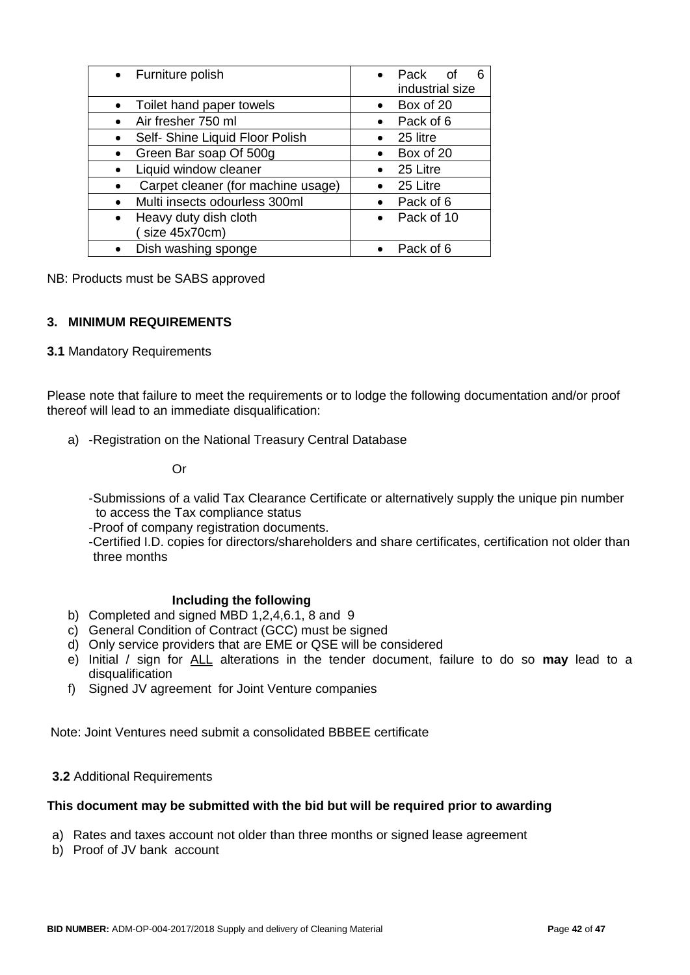| • Furniture polish                 | Pack<br>6<br>∩f<br>industrial size |
|------------------------------------|------------------------------------|
| Toilet hand paper towels           | Box of 20                          |
| Air fresher 750 ml                 | Pack of 6                          |
| Self- Shine Liquid Floor Polish    | 25 litre                           |
| Green Bar soap Of 500g             | Box of 20                          |
| Liquid window cleaner              | 25 Litre                           |
| Carpet cleaner (for machine usage) | 25 Litre                           |
| Multi insects odourless 300ml      | Pack of 6                          |
| Heavy duty dish cloth              | Pack of 10                         |
| size 45x70cm)                      |                                    |
| Dish washing sponge                | Pack of 6                          |

#### NB: Products must be SABS approved

#### **3. MINIMUM REQUIREMENTS**

#### **3.1** Mandatory Requirements

Please note that failure to meet the requirements or to lodge the following documentation and/or proof thereof will lead to an immediate disqualification:

a) -Registration on the National Treasury Central Database

Or

-Submissions of a valid Tax Clearance Certificate or alternatively supply the unique pin number to access the Tax compliance status

-Proof of company registration documents.

-Certified I.D. copies for directors/shareholders and share certificates, certification not older than three months

#### **Including the following**

- b) Completed and signed MBD 1,2,4,6.1, 8 and 9
- c) General Condition of Contract (GCC) must be signed
- d) Only service providers that are EME or QSE will be considered
- e) Initial / sign for ALL alterations in the tender document, failure to do so **may** lead to a disqualification
- f) Signed JV agreement for Joint Venture companies

Note: Joint Ventures need submit a consolidated BBBEE certificate

#### **3.2** Additional Requirements

#### **This document may be submitted with the bid but will be required prior to awarding**

- a) Rates and taxes account not older than three months or signed lease agreement
- b) Proof of JV bank account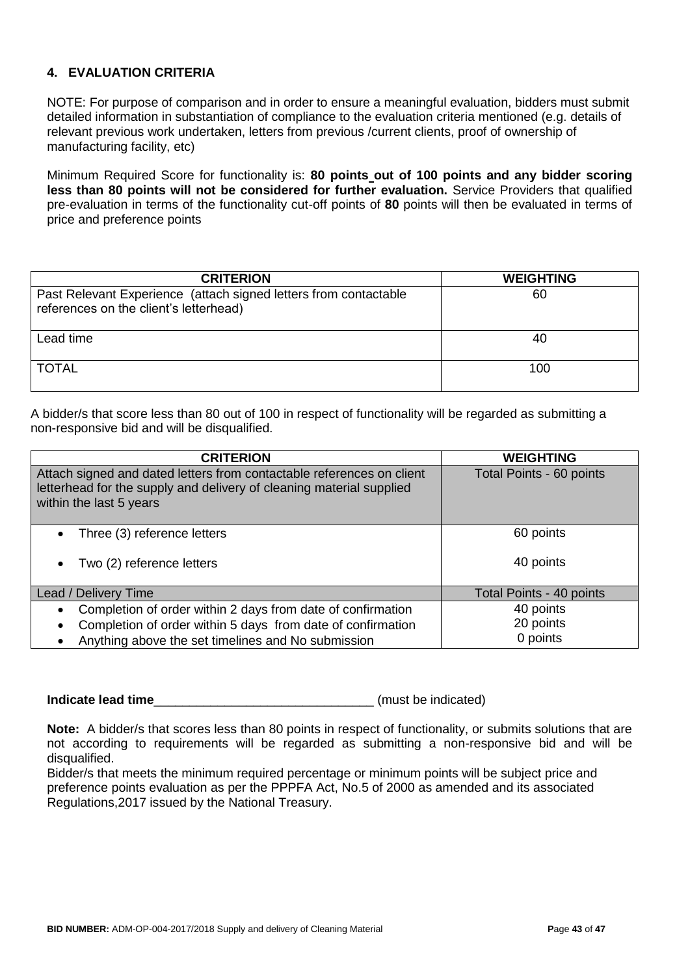### **4. EVALUATION CRITERIA**

NOTE: For purpose of comparison and in order to ensure a meaningful evaluation, bidders must submit detailed information in substantiation of compliance to the evaluation criteria mentioned (e.g. details of relevant previous work undertaken, letters from previous /current clients, proof of ownership of manufacturing facility, etc)

Minimum Required Score for functionality is: **80 points out of 100 points and any bidder scoring less than 80 points will not be considered for further evaluation.** Service Providers that qualified pre-evaluation in terms of the functionality cut-off points of **80** points will then be evaluated in terms of price and preference points

| <b>CRITERION</b>                                                                                           | <b>WEIGHTING</b> |
|------------------------------------------------------------------------------------------------------------|------------------|
| Past Relevant Experience (attach signed letters from contactable<br>references on the client's letterhead) | 60               |
| Lead time                                                                                                  | 40               |
| <b>TOTAL</b>                                                                                               | 100              |

A bidder/s that score less than 80 out of 100 in respect of functionality will be regarded as submitting a non-responsive bid and will be disqualified.

| <b>CRITERION</b>                                                                                                                                                                                           | <b>WEIGHTING</b>                   |
|------------------------------------------------------------------------------------------------------------------------------------------------------------------------------------------------------------|------------------------------------|
| Attach signed and dated letters from contactable references on client<br>letterhead for the supply and delivery of cleaning material supplied<br>within the last 5 years                                   | Total Points - 60 points           |
| Three (3) reference letters<br>$\bullet$                                                                                                                                                                   | 60 points                          |
| Two (2) reference letters<br>$\bullet$                                                                                                                                                                     | 40 points                          |
| Lead / Delivery Time                                                                                                                                                                                       | Total Points - 40 points           |
| Completion of order within 2 days from date of confirmation<br>$\bullet$<br>Completion of order within 5 days from date of confirmation<br>$\bullet$<br>Anything above the set timelines and No submission | 40 points<br>20 points<br>0 points |

**Indicate lead time indicate lead time** 

**Note:** A bidder/s that scores less than 80 points in respect of functionality, or submits solutions that are not according to requirements will be regarded as submitting a non-responsive bid and will be disqualified.

Bidder/s that meets the minimum required percentage or minimum points will be subject price and preference points evaluation as per the PPPFA Act, No.5 of 2000 as amended and its associated Regulations,2017 issued by the National Treasury.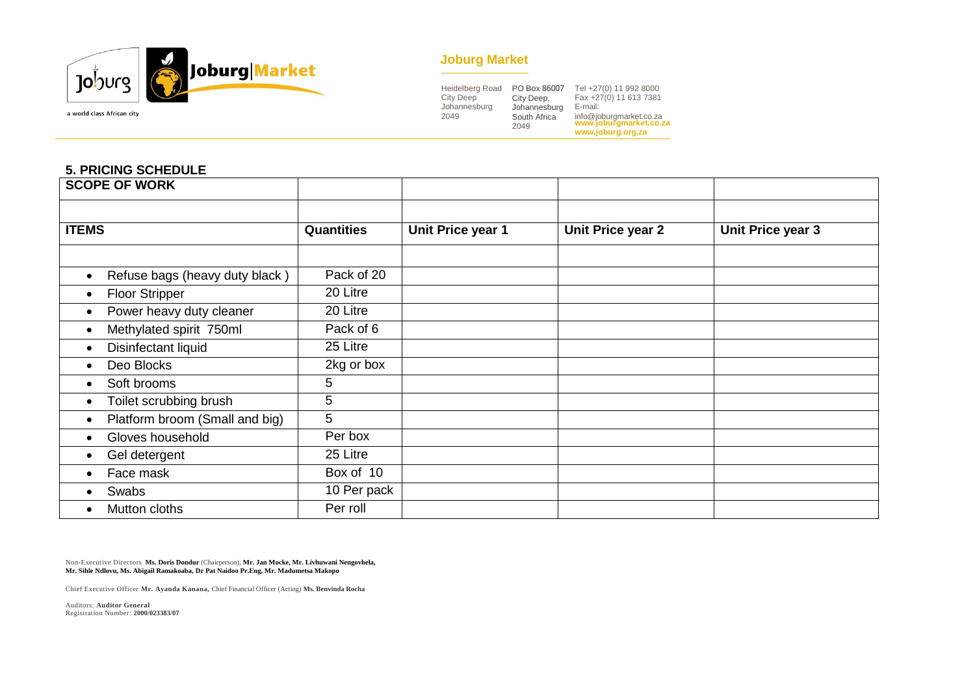

#### **Joburg Market**

| <b>Heidelberg Road</b> | PO Box 86007                         | Tel +27(0) 11 992 8000                                                            |
|------------------------|--------------------------------------|-----------------------------------------------------------------------------------|
| <b>City Deep</b>       | City Deep,                           | Fax +27(0) 11 613 7381                                                            |
| Johannesburg<br>2049   | Johannesburg<br>South Africa<br>2049 | E-mail:<br>info@joburgmarket.co.za<br>www.joburgmarket.co.za<br>www.joburg.org.za |

#### **5. PRICING SCHEDULE**

| <b>SCOPE OF WORK</b>           |                   |                   |                          |                   |
|--------------------------------|-------------------|-------------------|--------------------------|-------------------|
|                                |                   |                   |                          |                   |
| <b>ITEMS</b>                   | <b>Quantities</b> | Unit Price year 1 | <b>Unit Price year 2</b> | Unit Price year 3 |
|                                |                   |                   |                          |                   |
| Refuse bags (heavy duty black) | Pack of 20        |                   |                          |                   |
| <b>Floor Stripper</b>          | 20 Litre          |                   |                          |                   |
| Power heavy duty cleaner       | 20 Litre          |                   |                          |                   |
| Methylated spirit 750ml        | Pack of 6         |                   |                          |                   |
| Disinfectant liquid            | 25 Litre          |                   |                          |                   |
| Deo Blocks                     | 2kg or box        |                   |                          |                   |
| Soft brooms                    | 5                 |                   |                          |                   |
| Toilet scrubbing brush         | 5                 |                   |                          |                   |
| Platform broom (Small and big) | 5                 |                   |                          |                   |
| Gloves household               | Per box           |                   |                          |                   |
| Gel detergent                  | 25 Litre          |                   |                          |                   |
| Face mask                      | Box of 10         |                   |                          |                   |
| Swabs                          | 10 Per pack       |                   |                          |                   |
| Mutton cloths                  | Per roll          |                   |                          |                   |

Non-Executive Directors **Ms. Doris Dondur** (Chairperson), **Mr. Jan Mocke, Mr. Livhuwani Nengovhela, Mr. Sihle Ndlovu, Ms. Abigail Ramakoaba, Dr Pat Naidoo Pr.Eng, Mr. Madumetsa Makopo**

Chief Executive Officer **Mr. Ayanda Kanana,** Chief Financial Officer (Acting) **Ms. Benvinda Rocha**

Auditors: **Auditor General** Registration Number: **2000/023383/07**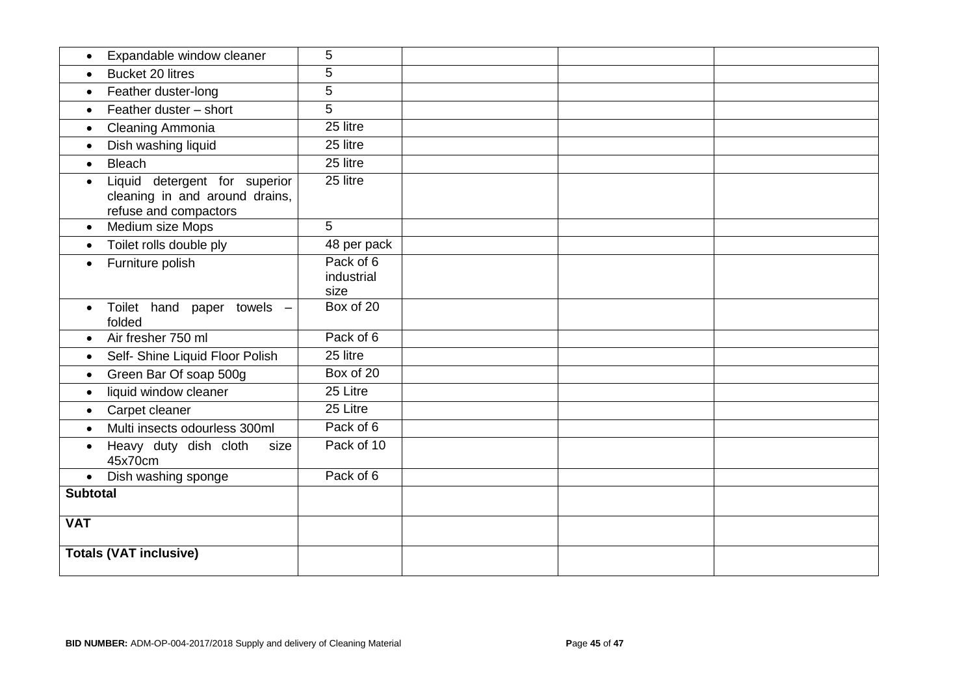| Expandable window cleaner                                                                             | 5                               |  |  |
|-------------------------------------------------------------------------------------------------------|---------------------------------|--|--|
| <b>Bucket 20 litres</b><br>$\bullet$                                                                  | 5                               |  |  |
| Feather duster-long<br>$\bullet$                                                                      | 5                               |  |  |
| Feather duster - short<br>$\bullet$                                                                   | 5                               |  |  |
| Cleaning Ammonia<br>$\bullet$                                                                         | 25 litre                        |  |  |
| Dish washing liquid<br>$\bullet$                                                                      | 25 litre                        |  |  |
| <b>Bleach</b><br>$\bullet$                                                                            | 25 litre                        |  |  |
| Liquid detergent for superior<br>$\bullet$<br>cleaning in and around drains,<br>refuse and compactors | 25 litre                        |  |  |
| Medium size Mops<br>$\bullet$                                                                         | 5                               |  |  |
| Toilet rolls double ply<br>$\bullet$                                                                  | 48 per pack                     |  |  |
| Furniture polish<br>$\bullet$                                                                         | Pack of 6<br>industrial<br>size |  |  |
| Toilet hand paper towels -<br>$\bullet$<br>folded                                                     | Box of 20                       |  |  |
| Air fresher 750 ml<br>$\bullet$                                                                       | Pack of 6                       |  |  |
| Self- Shine Liquid Floor Polish<br>$\bullet$                                                          | 25 litre                        |  |  |
| Green Bar Of soap 500g<br>$\bullet$                                                                   | Box of 20                       |  |  |
| liquid window cleaner<br>$\bullet$                                                                    | 25 Litre                        |  |  |
| Carpet cleaner<br>$\bullet$                                                                           | 25 Litre                        |  |  |
| Multi insects odourless 300ml<br>$\bullet$                                                            | Pack of 6                       |  |  |
| Heavy duty dish cloth<br>size<br>$\bullet$<br>45x70cm                                                 | Pack of 10                      |  |  |
| Dish washing sponge<br>$\bullet$                                                                      | Pack of 6                       |  |  |
| <b>Subtotal</b>                                                                                       |                                 |  |  |
| <b>VAT</b>                                                                                            |                                 |  |  |
| <b>Totals (VAT inclusive)</b>                                                                         |                                 |  |  |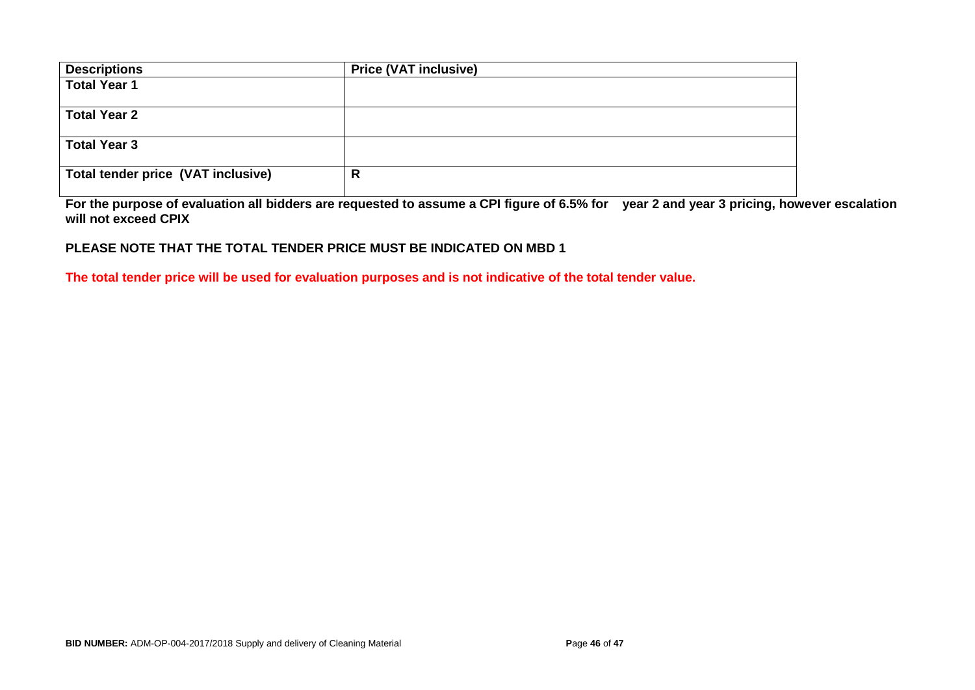| <b>Descriptions</b>                | <b>Price (VAT inclusive)</b> |
|------------------------------------|------------------------------|
| <b>Total Year 1</b>                |                              |
| <b>Total Year 2</b>                |                              |
| <b>Total Year 3</b>                |                              |
| Total tender price (VAT inclusive) | R                            |

**For the purpose of evaluation all bidders are requested to assume a CPI figure of 6.5% for year 2 and year 3 pricing, however escalation will not exceed CPIX**

### **PLEASE NOTE THAT THE TOTAL TENDER PRICE MUST BE INDICATED ON MBD 1**

**The total tender price will be used for evaluation purposes and is not indicative of the total tender value.**